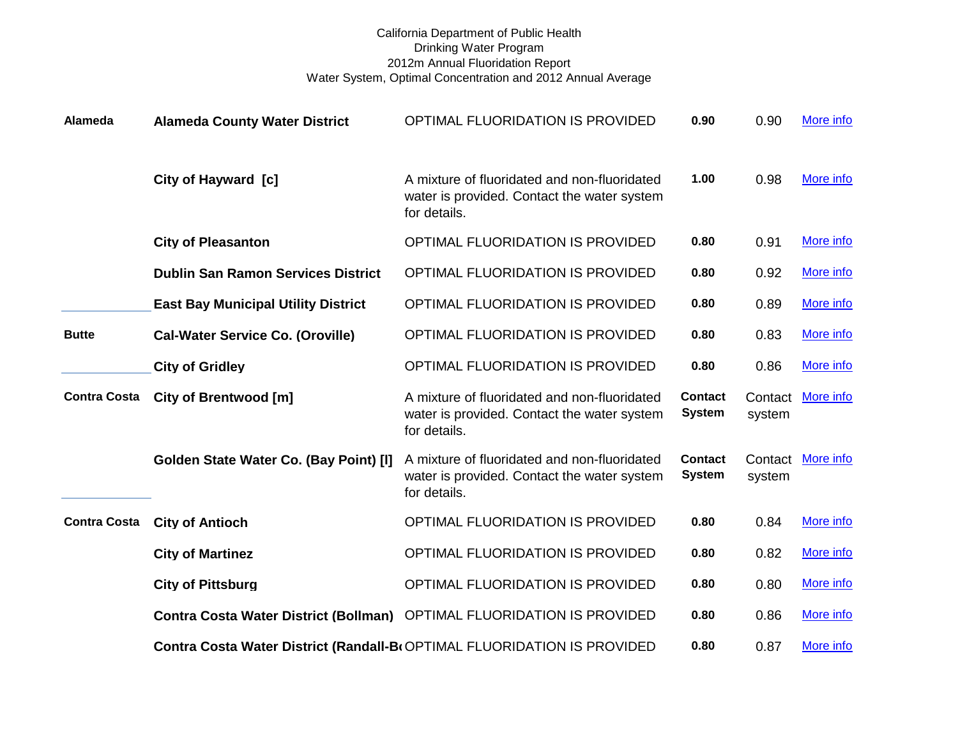## California Department of Public Health Drinking Water Program 2012m Annual Fluoridation Report Water System, Optimal Concentration and 2012 Annual Average

| Alameda             | <b>Alameda County Water District</b>         | OPTIMAL FLUORIDATION IS PROVIDED                                                                            | 0.90                            | 0.90              | More info |
|---------------------|----------------------------------------------|-------------------------------------------------------------------------------------------------------------|---------------------------------|-------------------|-----------|
|                     | City of Hayward [c]                          | A mixture of fluoridated and non-fluoridated<br>water is provided. Contact the water system<br>for details. | 1.00                            | 0.98              | More info |
|                     | <b>City of Pleasanton</b>                    | OPTIMAL FLUORIDATION IS PROVIDED                                                                            | 0.80                            | 0.91              | More info |
|                     | <b>Dublin San Ramon Services District</b>    | OPTIMAL FLUORIDATION IS PROVIDED                                                                            | 0.80                            | 0.92              | More info |
|                     | <b>East Bay Municipal Utility District</b>   | OPTIMAL FLUORIDATION IS PROVIDED                                                                            | 0.80                            | 0.89              | More info |
| <b>Butte</b>        | <b>Cal-Water Service Co. (Oroville)</b>      | OPTIMAL FLUORIDATION IS PROVIDED                                                                            | 0.80                            | 0.83              | More info |
|                     | <b>City of Gridley</b>                       | OPTIMAL FLUORIDATION IS PROVIDED                                                                            | 0.80                            | 0.86              | More info |
| <b>Contra Costa</b> | City of Brentwood [m]                        | A mixture of fluoridated and non-fluoridated<br>water is provided. Contact the water system<br>for details. | <b>Contact</b><br><b>System</b> | Contact<br>system | More info |
|                     | Golden State Water Co. (Bay Point) [I]       | A mixture of fluoridated and non-fluoridated<br>water is provided. Contact the water system<br>for details. | <b>Contact</b><br><b>System</b> | Contact<br>system | More info |
| <b>Contra Costa</b> | <b>City of Antioch</b>                       | OPTIMAL FLUORIDATION IS PROVIDED                                                                            | 0.80                            | 0.84              | More info |
|                     | <b>City of Martinez</b>                      | OPTIMAL FLUORIDATION IS PROVIDED                                                                            | 0.80                            | 0.82              | More info |
|                     | <b>City of Pittsburg</b>                     | OPTIMAL FLUORIDATION IS PROVIDED                                                                            | 0.80                            | 0.80              | More info |
|                     | <b>Contra Costa Water District (Bollman)</b> | OPTIMAL FLUORIDATION IS PROVIDED                                                                            | 0.80                            | 0.86              | More info |
|                     |                                              | Contra Costa Water District (Randall-BtOPTIMAL FLUORIDATION IS PROVIDED                                     | 0.80                            | 0.87              | More info |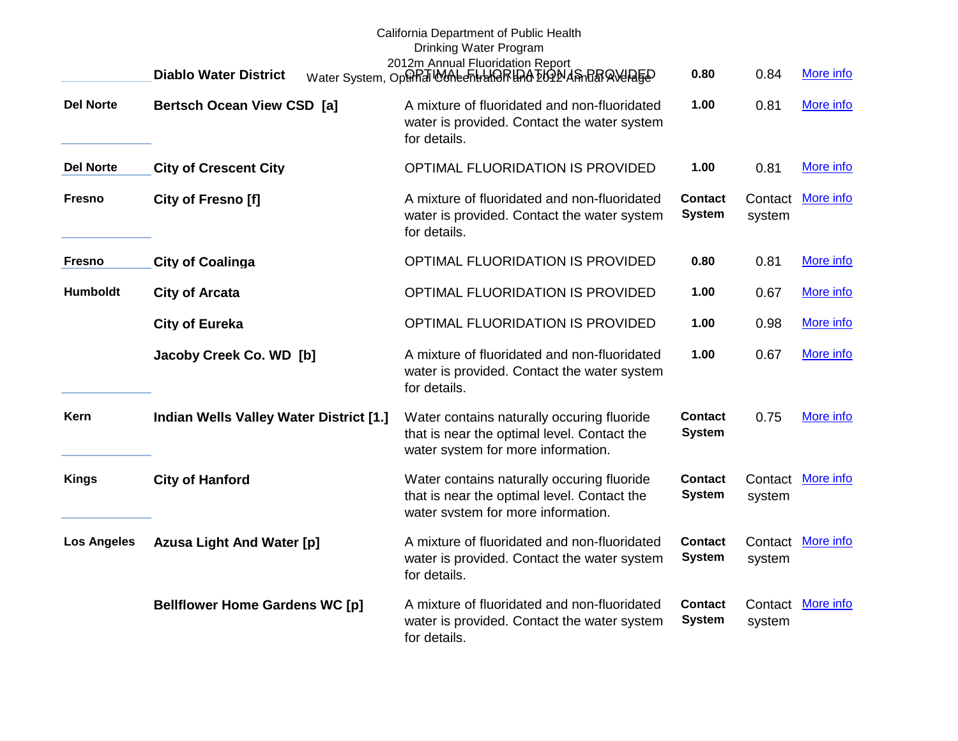|                    | <b>Diablo Water District</b>            | California Department of Public Health<br>Drinking Water Program<br>2012m Annual Fluoridation Report<br>Water System, Optin Montentral ARRIA ELONA STAR AVERED | 0.80                            | 0.84   | More info         |
|--------------------|-----------------------------------------|----------------------------------------------------------------------------------------------------------------------------------------------------------------|---------------------------------|--------|-------------------|
| <b>Del Norte</b>   | <b>Bertsch Ocean View CSD [a]</b>       | A mixture of fluoridated and non-fluoridated<br>water is provided. Contact the water system<br>for details.                                                    | 1.00                            | 0.81   | More info         |
| <b>Del Norte</b>   | <b>City of Crescent City</b>            | OPTIMAL FLUORIDATION IS PROVIDED                                                                                                                               | 1.00                            | 0.81   | More info         |
| Fresno             | City of Fresno [f]                      | A mixture of fluoridated and non-fluoridated<br>water is provided. Contact the water system<br>for details.                                                    | <b>Contact</b><br><b>System</b> | system | Contact More info |
| Fresno             | <b>City of Coalinga</b>                 | OPTIMAL FLUORIDATION IS PROVIDED                                                                                                                               | 0.80                            | 0.81   | More info         |
| <b>Humboldt</b>    | <b>City of Arcata</b>                   | OPTIMAL FLUORIDATION IS PROVIDED                                                                                                                               | 1.00                            | 0.67   | More info         |
|                    | <b>City of Eureka</b>                   | OPTIMAL FLUORIDATION IS PROVIDED                                                                                                                               | 1.00                            | 0.98   | More info         |
|                    | Jacoby Creek Co. WD [b]                 | A mixture of fluoridated and non-fluoridated<br>water is provided. Contact the water system<br>for details.                                                    | 1.00                            | 0.67   | More info         |
| Kern               | Indian Wells Valley Water District [1.] | Water contains naturally occuring fluoride<br>that is near the optimal level. Contact the<br>water system for more information.                                | <b>Contact</b><br><b>System</b> | 0.75   | More info         |
| <b>Kings</b>       | <b>City of Hanford</b>                  | Water contains naturally occuring fluoride<br>that is near the optimal level. Contact the<br>water system for more information.                                | <b>Contact</b><br><b>System</b> | system | Contact More info |
| <b>Los Angeles</b> | <b>Azusa Light And Water [p]</b>        | A mixture of fluoridated and non-fluoridated<br>water is provided. Contact the water system<br>for details.                                                    | <b>Contact</b><br><b>System</b> | system | Contact More info |
|                    | <b>Bellflower Home Gardens WC [p]</b>   | A mixture of fluoridated and non-fluoridated<br>water is provided. Contact the water system<br>for details.                                                    | <b>Contact</b><br><b>System</b> | system | Contact More info |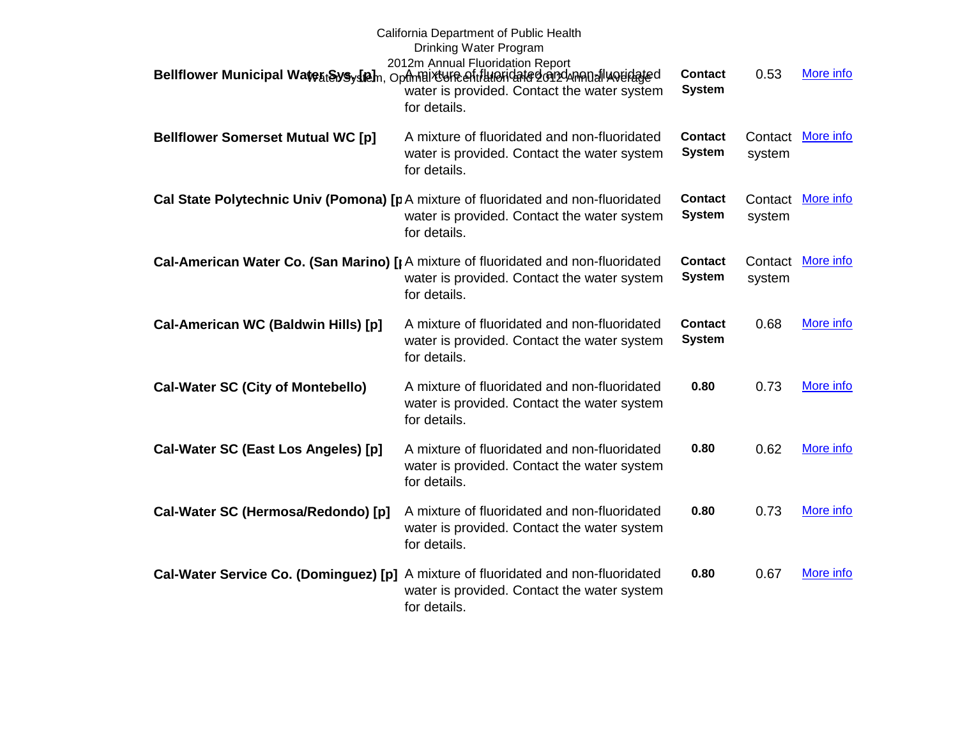|                                          | California Department of Public Health<br>Drinking Water Program<br>2012m Annual Fluoridation Report<br>Bellflower Municipal Wate <sub>bt</sub> Sys <sub>y</sub> (a), Optmaixture entitureridated on denna allu verlated<br>water is provided. Contact the water system<br>for details. | <b>Contact</b><br><b>System</b> | 0.53   | More info         |
|------------------------------------------|-----------------------------------------------------------------------------------------------------------------------------------------------------------------------------------------------------------------------------------------------------------------------------------------|---------------------------------|--------|-------------------|
| <b>Bellflower Somerset Mutual WC [p]</b> | A mixture of fluoridated and non-fluoridated<br>water is provided. Contact the water system<br>for details.                                                                                                                                                                             | <b>Contact</b><br><b>System</b> | system | Contact More info |
|                                          | Cal State Polytechnic Univ (Pomona) [pA mixture of fluoridated and non-fluoridated<br>water is provided. Contact the water system<br>for details.                                                                                                                                       | <b>Contact</b><br><b>System</b> | system | Contact More info |
|                                          | Cal-American Water Co. (San Marino) [¡ A mixture of fluoridated and non-fluoridated<br>water is provided. Contact the water system<br>for details.                                                                                                                                      | <b>Contact</b><br><b>System</b> | system | Contact More info |
| Cal-American WC (Baldwin Hills) [p]      | A mixture of fluoridated and non-fluoridated<br>water is provided. Contact the water system<br>for details.                                                                                                                                                                             | <b>Contact</b><br><b>System</b> | 0.68   | More info         |
| <b>Cal-Water SC (City of Montebello)</b> | A mixture of fluoridated and non-fluoridated<br>water is provided. Contact the water system<br>for details.                                                                                                                                                                             | 0.80                            | 0.73   | More info         |
| Cal-Water SC (East Los Angeles) [p]      | A mixture of fluoridated and non-fluoridated<br>water is provided. Contact the water system<br>for details.                                                                                                                                                                             | 0.80                            | 0.62   | More info         |
| Cal-Water SC (Hermosa/Redondo) [p]       | A mixture of fluoridated and non-fluoridated<br>water is provided. Contact the water system<br>for details.                                                                                                                                                                             | 0.80                            | 0.73   | More info         |
| Cal-Water Service Co. (Dominguez) [p]    | A mixture of fluoridated and non-fluoridated<br>water is provided. Contact the water system<br>for details.                                                                                                                                                                             | 0.80                            | 0.67   | More info         |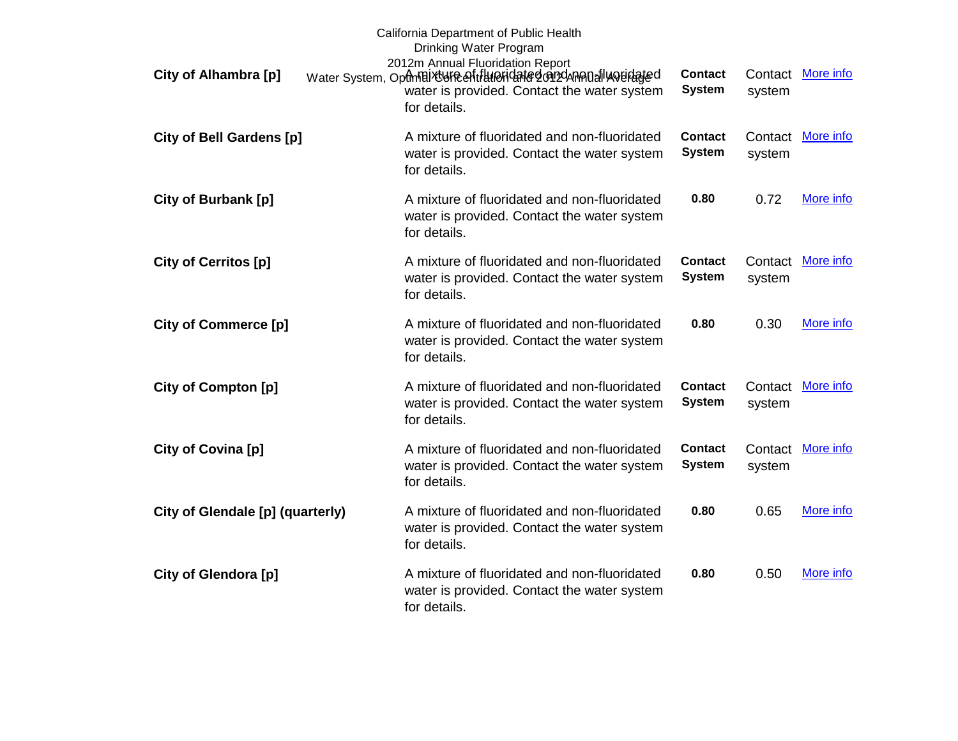| City of Alhambra [p]             | California Department of Public Health<br>Drinking Water Program<br>2012m Annual Fluoridation Report<br>Water System, Optmaixture of if luioridated on dannou all wouldated<br>water is provided. Contact the water system<br>for details. | <b>Contact</b><br><b>System</b> | Contact<br>system | More info |
|----------------------------------|--------------------------------------------------------------------------------------------------------------------------------------------------------------------------------------------------------------------------------------------|---------------------------------|-------------------|-----------|
| <b>City of Bell Gardens [p]</b>  | A mixture of fluoridated and non-fluoridated<br>water is provided. Contact the water system<br>for details.                                                                                                                                | <b>Contact</b><br><b>System</b> | Contact<br>system | More info |
| City of Burbank [p]              | A mixture of fluoridated and non-fluoridated<br>water is provided. Contact the water system<br>for details.                                                                                                                                | 0.80                            | 0.72              | More info |
| City of Cerritos [p]             | A mixture of fluoridated and non-fluoridated<br>water is provided. Contact the water system<br>for details.                                                                                                                                | <b>Contact</b><br><b>System</b> | Contact<br>system | More info |
| <b>City of Commerce [p]</b>      | A mixture of fluoridated and non-fluoridated<br>water is provided. Contact the water system<br>for details.                                                                                                                                | 0.80                            | 0.30              | More info |
| City of Compton [p]              | A mixture of fluoridated and non-fluoridated<br>water is provided. Contact the water system<br>for details.                                                                                                                                | <b>Contact</b><br><b>System</b> | Contact<br>system | More info |
| City of Covina [p]               | A mixture of fluoridated and non-fluoridated<br>water is provided. Contact the water system<br>for details.                                                                                                                                | <b>Contact</b><br><b>System</b> | Contact<br>system | More info |
| City of Glendale [p] (quarterly) | A mixture of fluoridated and non-fluoridated<br>water is provided. Contact the water system<br>for details.                                                                                                                                | 0.80                            | 0.65              | More info |
| City of Glendora [p]             | A mixture of fluoridated and non-fluoridated<br>water is provided. Contact the water system<br>for details.                                                                                                                                | 0.80                            | 0.50              | More info |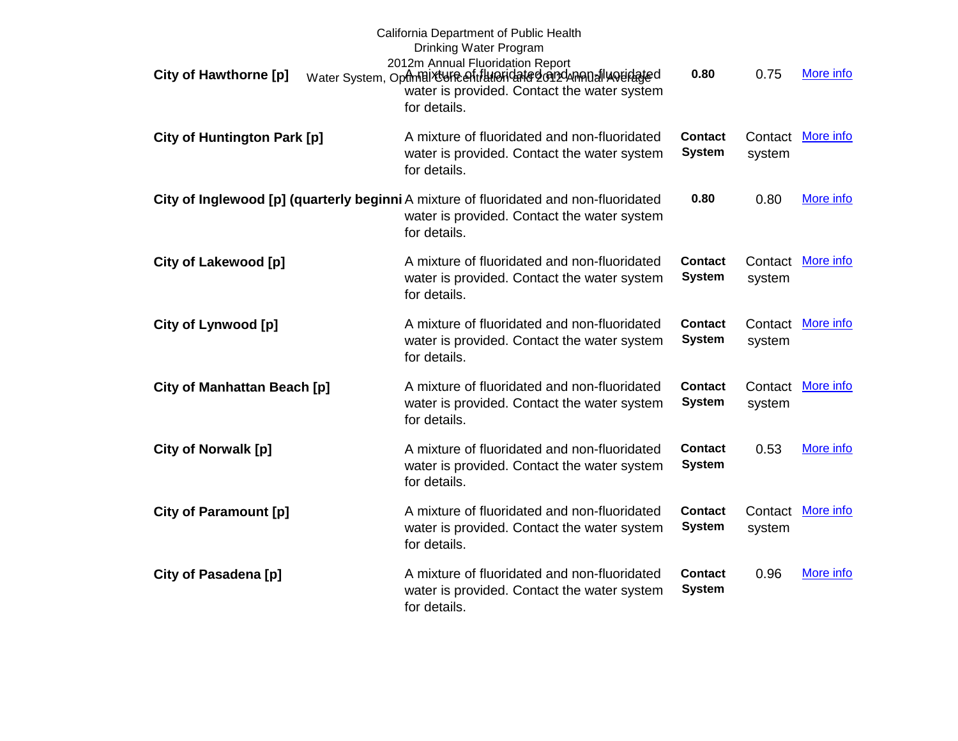| <b>City of Hawthorne [p]</b>       | California Department of Public Health<br>Drinking Water Program<br>2012m Annual Fluoridation Report<br>Water System, Optmaixture entitlueridated or pdnenoally ourdated<br>water is provided. Contact the water system<br>for details. | 0.80                            | 0.75              | More info        |
|------------------------------------|-----------------------------------------------------------------------------------------------------------------------------------------------------------------------------------------------------------------------------------------|---------------------------------|-------------------|------------------|
| <b>City of Huntington Park [p]</b> | A mixture of fluoridated and non-fluoridated<br>water is provided. Contact the water system<br>for details.                                                                                                                             | <b>Contact</b><br><b>System</b> | Contact<br>system | More info        |
|                                    | City of Inglewood [p] (quarterly beginni A mixture of fluoridated and non-fluoridated<br>water is provided. Contact the water system<br>for details.                                                                                    | 0.80                            | 0.80              | More info        |
| City of Lakewood [p]               | A mixture of fluoridated and non-fluoridated<br>water is provided. Contact the water system<br>for details.                                                                                                                             | <b>Contact</b><br><b>System</b> | Contact<br>system | More info        |
| City of Lynwood [p]                | A mixture of fluoridated and non-fluoridated<br>water is provided. Contact the water system<br>for details.                                                                                                                             | <b>Contact</b><br><b>System</b> | Contact<br>system | More info        |
| City of Manhattan Beach [p]        | A mixture of fluoridated and non-fluoridated<br>water is provided. Contact the water system<br>for details.                                                                                                                             | <b>Contact</b><br><b>System</b> | Contact<br>system | More info        |
| <b>City of Norwalk [p]</b>         | A mixture of fluoridated and non-fluoridated<br>water is provided. Contact the water system<br>for details.                                                                                                                             | <b>Contact</b><br><b>System</b> | 0.53              | More info        |
| <b>City of Paramount [p]</b>       | A mixture of fluoridated and non-fluoridated<br>water is provided. Contact the water system<br>for details.                                                                                                                             | <b>Contact</b><br><b>System</b> | Contact<br>system | <b>More info</b> |
| City of Pasadena [p]               | A mixture of fluoridated and non-fluoridated<br>water is provided. Contact the water system<br>for details.                                                                                                                             | Contact<br><b>System</b>        | 0.96              | More info        |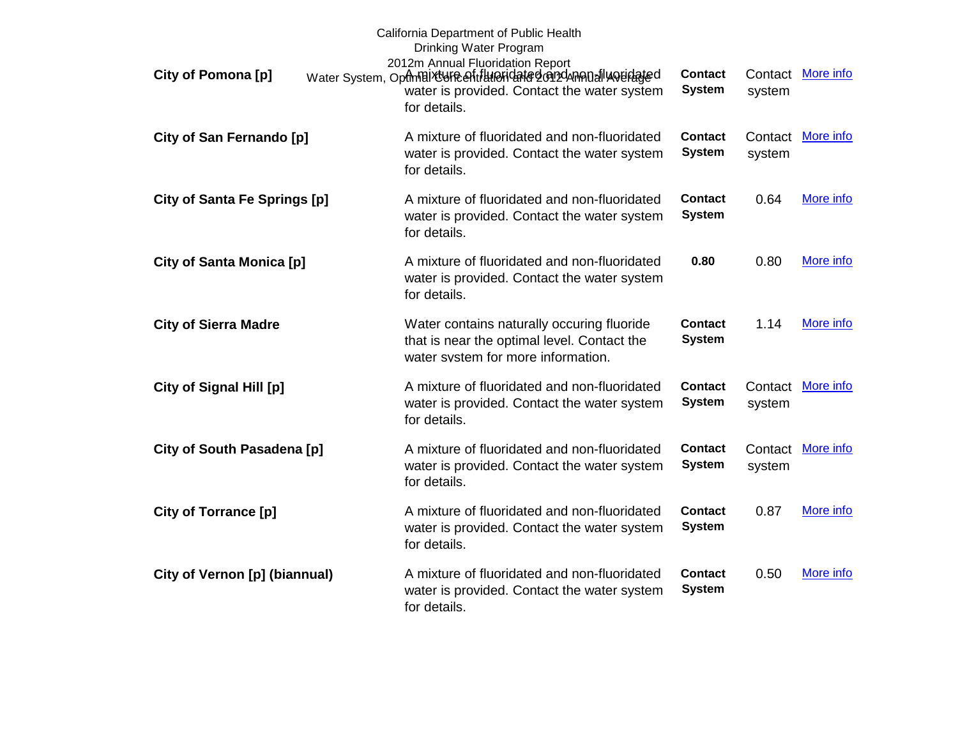| City of Pomona [p]                  | California Department of Public Health<br>Drinking Water Program<br>2012m Annual Fluoridation Report<br>Water System, OpfmBiXtUFRefitHHeFidated@n2dAnA0alluouidated<br>water is provided. Contact the water system<br>for details. | <b>Contact</b><br><b>System</b> | Contact<br>system | More info |
|-------------------------------------|------------------------------------------------------------------------------------------------------------------------------------------------------------------------------------------------------------------------------------|---------------------------------|-------------------|-----------|
| City of San Fernando [p]            | A mixture of fluoridated and non-fluoridated<br>water is provided. Contact the water system<br>for details.                                                                                                                        | <b>Contact</b><br><b>System</b> | Contact<br>system | More info |
| <b>City of Santa Fe Springs [p]</b> | A mixture of fluoridated and non-fluoridated<br>water is provided. Contact the water system<br>for details.                                                                                                                        | <b>Contact</b><br><b>System</b> | 0.64              | More info |
| <b>City of Santa Monica [p]</b>     | A mixture of fluoridated and non-fluoridated<br>water is provided. Contact the water system<br>for details.                                                                                                                        | 0.80                            | 0.80              | More info |
| <b>City of Sierra Madre</b>         | Water contains naturally occuring fluoride<br>that is near the optimal level. Contact the<br>water system for more information.                                                                                                    | <b>Contact</b><br><b>System</b> | 1.14              | More info |
| City of Signal Hill [p]             | A mixture of fluoridated and non-fluoridated<br>water is provided. Contact the water system<br>for details.                                                                                                                        | <b>Contact</b><br><b>System</b> | Contact<br>system | More info |
| City of South Pasadena [p]          | A mixture of fluoridated and non-fluoridated<br>water is provided. Contact the water system<br>for details.                                                                                                                        | <b>Contact</b><br><b>System</b> | Contact<br>system | More info |
| City of Torrance [p]                | A mixture of fluoridated and non-fluoridated<br>water is provided. Contact the water system<br>for details.                                                                                                                        | <b>Contact</b><br><b>System</b> | 0.87              | More info |
| City of Vernon [p] (biannual)       | A mixture of fluoridated and non-fluoridated<br>water is provided. Contact the water system<br>for details.                                                                                                                        | Contact<br><b>System</b>        | 0.50              | More info |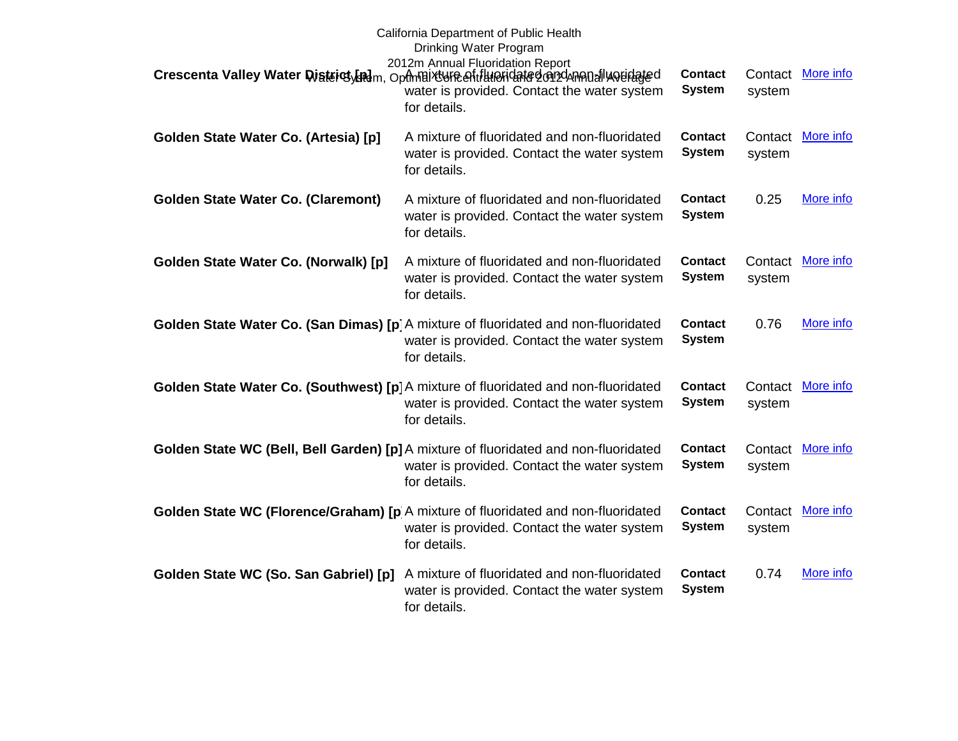|                                           | California Department of Public Health<br>Drinking Water Program<br>2012m Annual Fluoridation Report<br>Crescenta Valley Water District Ladm, Ophnaixture entitlupridated on dannou allu opidated<br>water is provided. Contact the water system | <b>Contact</b><br><b>System</b> | Contact<br>system | More info |
|-------------------------------------------|--------------------------------------------------------------------------------------------------------------------------------------------------------------------------------------------------------------------------------------------------|---------------------------------|-------------------|-----------|
|                                           | for details.                                                                                                                                                                                                                                     |                                 |                   |           |
| Golden State Water Co. (Artesia) [p]      | A mixture of fluoridated and non-fluoridated<br>water is provided. Contact the water system<br>for details.                                                                                                                                      | <b>Contact</b><br><b>System</b> | Contact<br>system | More info |
| <b>Golden State Water Co. (Claremont)</b> | A mixture of fluoridated and non-fluoridated<br>water is provided. Contact the water system<br>for details.                                                                                                                                      | <b>Contact</b><br><b>System</b> | 0.25              | More info |
| Golden State Water Co. (Norwalk) [p]      | A mixture of fluoridated and non-fluoridated<br>water is provided. Contact the water system<br>for details.                                                                                                                                      | <b>Contact</b><br><b>System</b> | Contact<br>system | More info |
|                                           | Golden State Water Co. (San Dimas) [p] A mixture of fluoridated and non-fluoridated<br>water is provided. Contact the water system<br>for details.                                                                                               | <b>Contact</b><br><b>System</b> | 0.76              | More info |
|                                           | Golden State Water Co. (Southwest) [p] A mixture of fluoridated and non-fluoridated<br>water is provided. Contact the water system<br>for details.                                                                                               | <b>Contact</b><br><b>System</b> | Contact<br>system | More info |
|                                           | Golden State WC (Bell, Bell Garden) [p] A mixture of fluoridated and non-fluoridated<br>water is provided. Contact the water system<br>for details.                                                                                              | <b>Contact</b><br><b>System</b> | Contact<br>system | More info |
|                                           | Golden State WC (Florence/Graham) [p A mixture of fluoridated and non-fluoridated<br>water is provided. Contact the water system<br>for details.                                                                                                 | <b>Contact</b><br><b>System</b> | Contact<br>system | More info |
| Golden State WC (So. San Gabriel) [p]     | A mixture of fluoridated and non-fluoridated<br>water is provided. Contact the water system<br>for details.                                                                                                                                      | <b>Contact</b><br><b>System</b> | 0.74              | More info |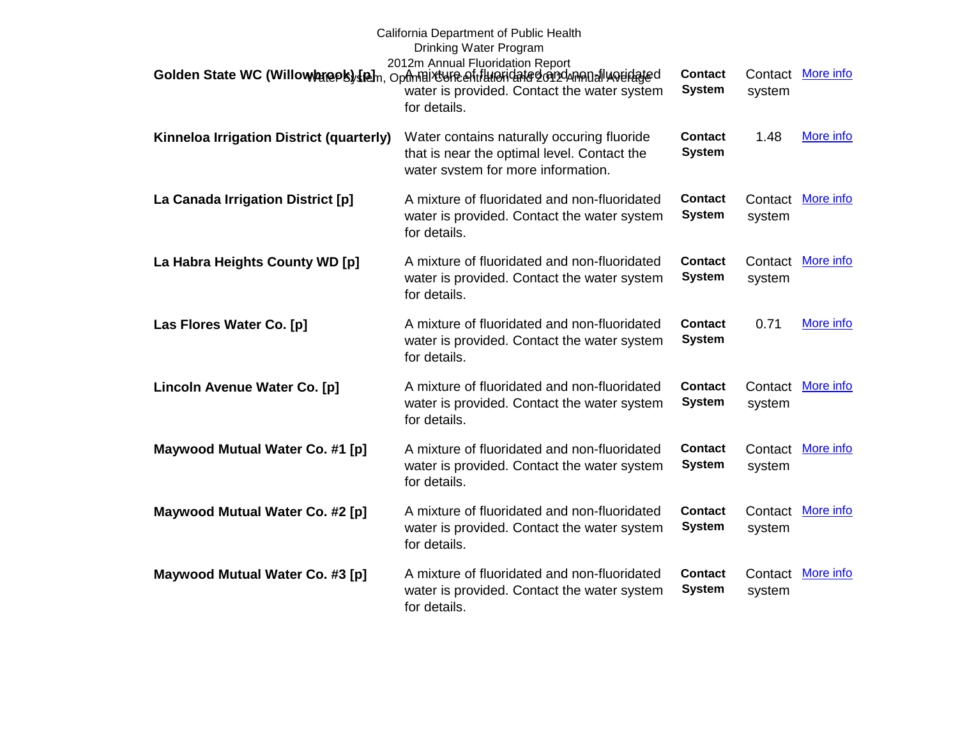|                                          | California Department of Public Health<br>Drinking Water Program<br>2012m Annual Fluoridation Report<br>Golden State WC (Willowbreek) [Rah, Opfmaix ufe eftilineridated on dunen all weidated<br>water is provided. Contact the water system<br>for details. | <b>Contact</b><br><b>System</b> | Contact<br>system | More info         |
|------------------------------------------|--------------------------------------------------------------------------------------------------------------------------------------------------------------------------------------------------------------------------------------------------------------|---------------------------------|-------------------|-------------------|
| Kinneloa Irrigation District (quarterly) | Water contains naturally occuring fluoride<br>that is near the optimal level. Contact the<br>water system for more information.                                                                                                                              | <b>Contact</b><br><b>System</b> | 1.48              | More info         |
| La Canada Irrigation District [p]        | A mixture of fluoridated and non-fluoridated<br>water is provided. Contact the water system<br>for details.                                                                                                                                                  | <b>Contact</b><br><b>System</b> | system            | Contact More info |
| La Habra Heights County WD [p]           | A mixture of fluoridated and non-fluoridated<br>water is provided. Contact the water system<br>for details.                                                                                                                                                  | <b>Contact</b><br><b>System</b> | system            | Contact More info |
| Las Flores Water Co. [p]                 | A mixture of fluoridated and non-fluoridated<br>water is provided. Contact the water system<br>for details.                                                                                                                                                  | <b>Contact</b><br><b>System</b> | 0.71              | More info         |
| Lincoln Avenue Water Co. [p]             | A mixture of fluoridated and non-fluoridated<br>water is provided. Contact the water system<br>for details.                                                                                                                                                  | <b>Contact</b><br><b>System</b> | Contact<br>system | More info         |
| Maywood Mutual Water Co. #1 [p]          | A mixture of fluoridated and non-fluoridated<br>water is provided. Contact the water system<br>for details.                                                                                                                                                  | <b>Contact</b><br><b>System</b> | Contact<br>system | More info         |
| Maywood Mutual Water Co. #2 [p]          | A mixture of fluoridated and non-fluoridated<br>water is provided. Contact the water system<br>for details.                                                                                                                                                  | <b>Contact</b><br><b>System</b> | Contact<br>system | More info         |
| Maywood Mutual Water Co. #3 [p]          | A mixture of fluoridated and non-fluoridated<br>water is provided. Contact the water system<br>for details.                                                                                                                                                  | <b>Contact</b><br><b>System</b> | Contact<br>system | More info         |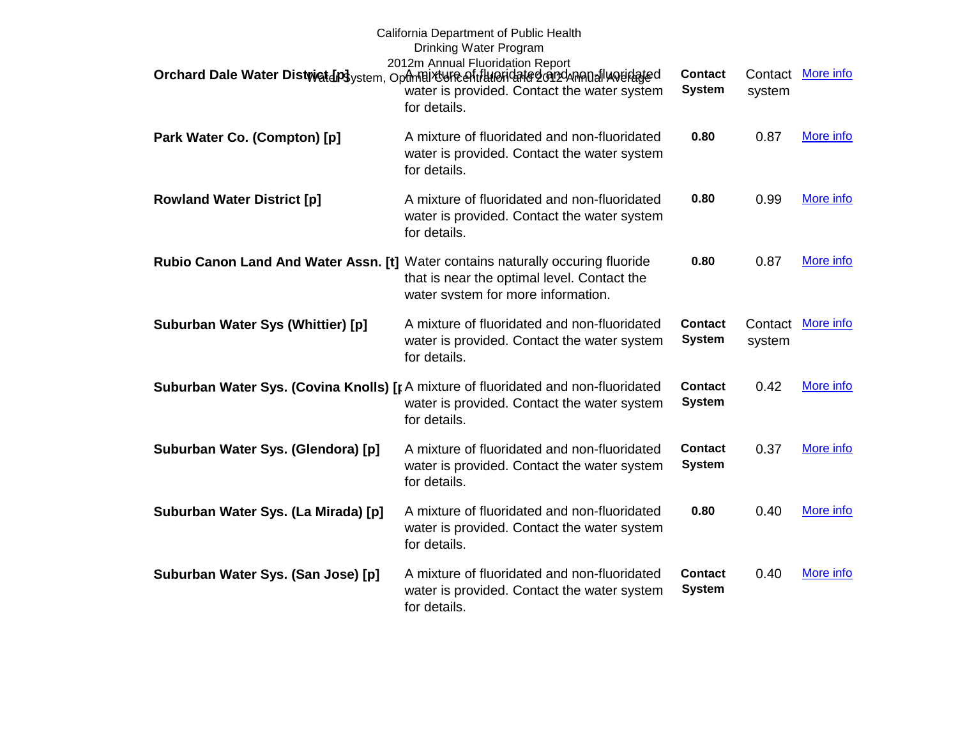|                                     | California Department of Public Health<br>Drinking Water Program<br>2012m Annual Fluoridation Report<br>Orchard Dale Water Distwict [p] ystem, Opfmaix UFR eftill AFIC date den 24 manufluouidated<br>water is provided. Contact the water system<br>for details. | <b>Contact</b><br><b>System</b> | Contact<br>system | More info |
|-------------------------------------|-------------------------------------------------------------------------------------------------------------------------------------------------------------------------------------------------------------------------------------------------------------------|---------------------------------|-------------------|-----------|
| Park Water Co. (Compton) [p]        | A mixture of fluoridated and non-fluoridated<br>water is provided. Contact the water system<br>for details.                                                                                                                                                       | 0.80                            | 0.87              | More info |
| <b>Rowland Water District [p]</b>   | A mixture of fluoridated and non-fluoridated<br>water is provided. Contact the water system<br>for details.                                                                                                                                                       | 0.80                            | 0.99              | More info |
|                                     | Rubio Canon Land And Water Assn. [t] Water contains naturally occuring fluoride<br>that is near the optimal level. Contact the<br>water system for more information.                                                                                              | 0.80                            | 0.87              | More info |
| Suburban Water Sys (Whittier) [p]   | A mixture of fluoridated and non-fluoridated<br>water is provided. Contact the water system<br>for details.                                                                                                                                                       | <b>Contact</b><br><b>System</b> | Contact<br>system | More info |
|                                     | <b>Suburban Water Sys. (Covina Knolls) [p A mixture of fluoridated and non-fluoridated</b><br>water is provided. Contact the water system<br>for details.                                                                                                         | <b>Contact</b><br><b>System</b> | 0.42              | More info |
| Suburban Water Sys. (Glendora) [p]  | A mixture of fluoridated and non-fluoridated<br>water is provided. Contact the water system<br>for details.                                                                                                                                                       | <b>Contact</b><br><b>System</b> | 0.37              | More info |
| Suburban Water Sys. (La Mirada) [p] | A mixture of fluoridated and non-fluoridated<br>water is provided. Contact the water system<br>for details.                                                                                                                                                       | 0.80                            | 0.40              | More info |
| Suburban Water Sys. (San Jose) [p]  | A mixture of fluoridated and non-fluoridated<br>water is provided. Contact the water system<br>for details.                                                                                                                                                       | Contact<br><b>System</b>        | 0.40              | More info |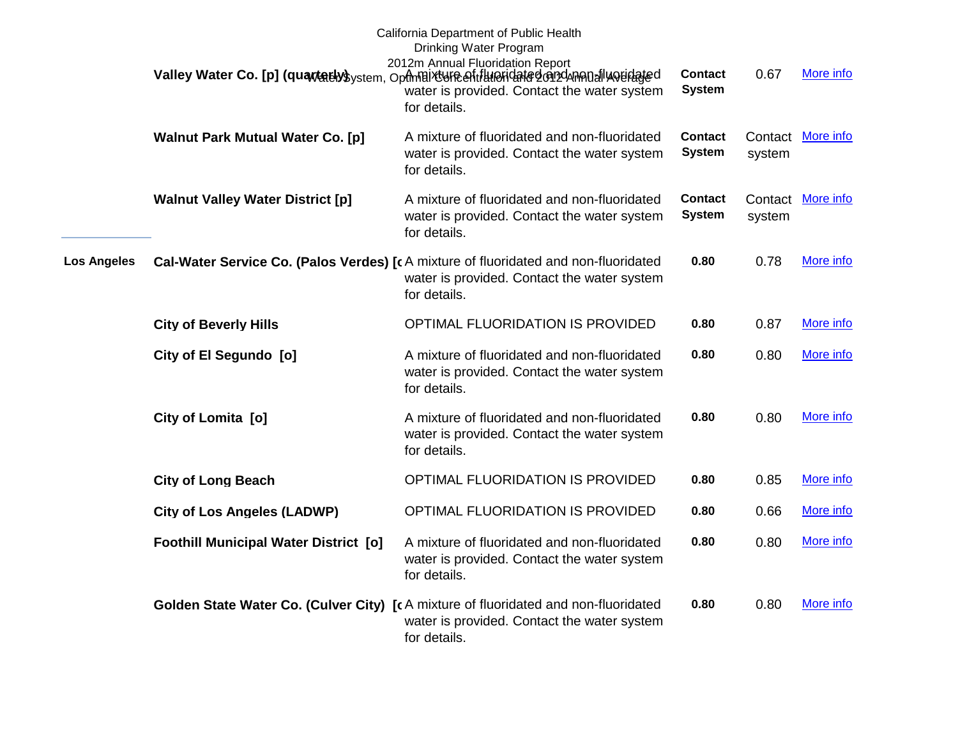|                    |                                              | California Department of Public Health<br>Drinking Water Program<br>2012m Annual Fluoridation Report<br>Valley Water Co. [p] (quartativs ystem, Opthelix bure entitled identified on 24 mental would get<br>water is provided. Contact the water system<br>for details. | <b>Contact</b><br><b>System</b> | 0.67   | More info         |
|--------------------|----------------------------------------------|-------------------------------------------------------------------------------------------------------------------------------------------------------------------------------------------------------------------------------------------------------------------------|---------------------------------|--------|-------------------|
|                    | <b>Walnut Park Mutual Water Co. [p]</b>      | A mixture of fluoridated and non-fluoridated<br>water is provided. Contact the water system<br>for details.                                                                                                                                                             | <b>Contact</b><br><b>System</b> | system | Contact More info |
|                    | <b>Walnut Valley Water District [p]</b>      | A mixture of fluoridated and non-fluoridated<br>water is provided. Contact the water system<br>for details.                                                                                                                                                             | <b>Contact</b><br><b>System</b> | system | Contact More info |
| <b>Los Angeles</b> |                                              | Cal-Water Service Co. (Palos Verdes) [c A mixture of fluoridated and non-fluoridated<br>water is provided. Contact the water system<br>for details.                                                                                                                     | 0.80                            | 0.78   | More info         |
|                    | <b>City of Beverly Hills</b>                 | OPTIMAL FLUORIDATION IS PROVIDED                                                                                                                                                                                                                                        | 0.80                            | 0.87   | More info         |
|                    | City of El Segundo [o]                       | A mixture of fluoridated and non-fluoridated<br>water is provided. Contact the water system<br>for details.                                                                                                                                                             | 0.80                            | 0.80   | More info         |
|                    | City of Lomita [0]                           | A mixture of fluoridated and non-fluoridated<br>water is provided. Contact the water system<br>for details.                                                                                                                                                             | 0.80                            | 0.80   | More info         |
|                    | <b>City of Long Beach</b>                    | OPTIMAL FLUORIDATION IS PROVIDED                                                                                                                                                                                                                                        | 0.80                            | 0.85   | More info         |
|                    | <b>City of Los Angeles (LADWP)</b>           | OPTIMAL FLUORIDATION IS PROVIDED                                                                                                                                                                                                                                        | 0.80                            | 0.66   | More info         |
|                    | <b>Foothill Municipal Water District [0]</b> | A mixture of fluoridated and non-fluoridated<br>water is provided. Contact the water system<br>for details.                                                                                                                                                             | 0.80                            | 0.80   | More info         |
|                    |                                              | Golden State Water Co. (Culver City) [cA mixture of fluoridated and non-fluoridated<br>water is provided. Contact the water system<br>for details.                                                                                                                      | 0.80                            | 0.80   | More info         |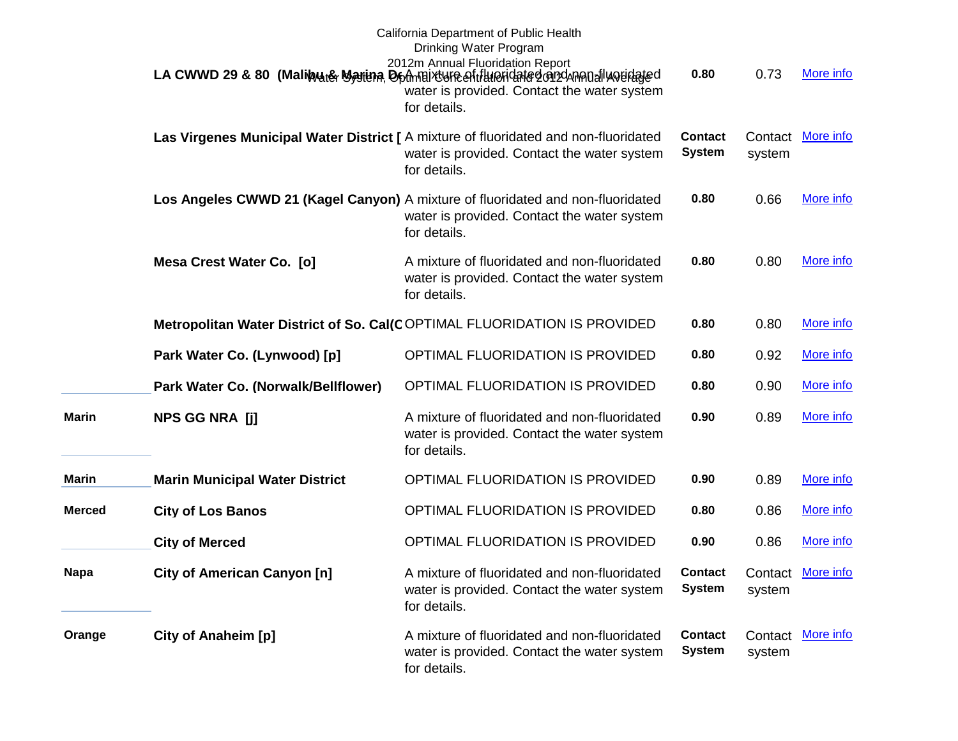|               |                                       | California Department of Public Health<br>Drinking Water Program<br>2012m Annual Fluoridation Report<br>LA CWWD 29 & 80 (Malibyute Marina Dommaix Une of the pridate don denomination of the United States<br>water is provided. Contact the water system<br>for details. | 0.80                            | 0.73   | More info         |
|---------------|---------------------------------------|---------------------------------------------------------------------------------------------------------------------------------------------------------------------------------------------------------------------------------------------------------------------------|---------------------------------|--------|-------------------|
|               |                                       | Las Virgenes Municipal Water District [ A mixture of fluoridated and non-fluoridated<br>water is provided. Contact the water system<br>for details.                                                                                                                       | <b>Contact</b><br><b>System</b> | system | Contact More info |
|               |                                       | Los Angeles CWWD 21 (Kagel Canyon) A mixture of fluoridated and non-fluoridated<br>water is provided. Contact the water system<br>for details.                                                                                                                            | 0.80                            | 0.66   | More info         |
|               | Mesa Crest Water Co. [0]              | A mixture of fluoridated and non-fluoridated<br>water is provided. Contact the water system<br>for details.                                                                                                                                                               | 0.80                            | 0.80   | More info         |
|               |                                       | Metropolitan Water District of So. Cal(COPTIMAL FLUORIDATION IS PROVIDED                                                                                                                                                                                                  | 0.80                            | 0.80   | More info         |
|               | Park Water Co. (Lynwood) [p]          | OPTIMAL FLUORIDATION IS PROVIDED                                                                                                                                                                                                                                          | 0.80                            | 0.92   | More info         |
|               | Park Water Co. (Norwalk/Bellflower)   | OPTIMAL FLUORIDATION IS PROVIDED                                                                                                                                                                                                                                          | 0.80                            | 0.90   | More info         |
| <b>Marin</b>  | <b>NPS GG NRA [j]</b>                 | A mixture of fluoridated and non-fluoridated<br>water is provided. Contact the water system<br>for details.                                                                                                                                                               | 0.90                            | 0.89   | More info         |
| <b>Marin</b>  | <b>Marin Municipal Water District</b> | OPTIMAL FLUORIDATION IS PROVIDED                                                                                                                                                                                                                                          | 0.90                            | 0.89   | More info         |
| <b>Merced</b> | <b>City of Los Banos</b>              | OPTIMAL FLUORIDATION IS PROVIDED                                                                                                                                                                                                                                          | 0.80                            | 0.86   | More info         |
|               | <b>City of Merced</b>                 | OPTIMAL FLUORIDATION IS PROVIDED                                                                                                                                                                                                                                          | 0.90                            | 0.86   | More info         |
| <b>Napa</b>   | <b>City of American Canyon [n]</b>    | A mixture of fluoridated and non-fluoridated<br>water is provided. Contact the water system<br>for details.                                                                                                                                                               | <b>Contact</b><br><b>System</b> | system | Contact More info |
| Orange        | City of Anaheim [p]                   | A mixture of fluoridated and non-fluoridated<br>water is provided. Contact the water system<br>for details.                                                                                                                                                               | <b>Contact</b><br><b>System</b> | system | Contact More info |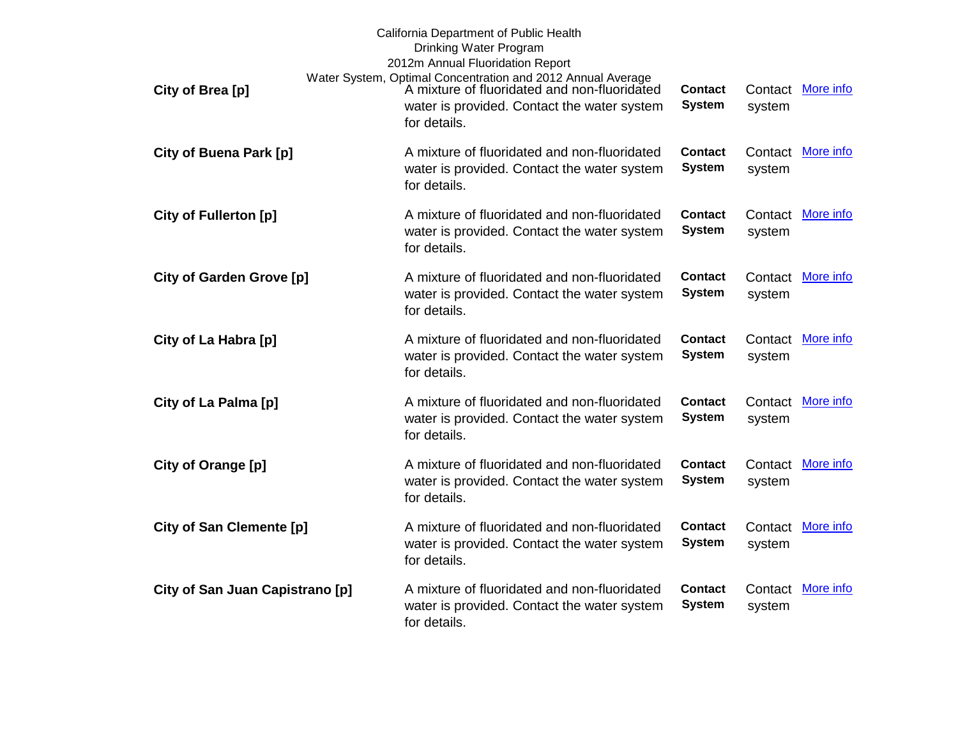| City of Brea [p]                | California Department of Public Health<br>Drinking Water Program<br>2012m Annual Fluoridation Report<br>Water System, Optimal Concentration and 2012 Annual Average<br>A mixture of fluoridated and non-fluoridated | <b>Contact</b>                  | Contact           | More info         |
|---------------------------------|---------------------------------------------------------------------------------------------------------------------------------------------------------------------------------------------------------------------|---------------------------------|-------------------|-------------------|
|                                 | water is provided. Contact the water system<br>for details.                                                                                                                                                         | <b>System</b>                   | system            |                   |
| <b>City of Buena Park [p]</b>   | A mixture of fluoridated and non-fluoridated<br>water is provided. Contact the water system<br>for details.                                                                                                         | <b>Contact</b><br><b>System</b> | system            | Contact More info |
| <b>City of Fullerton [p]</b>    | A mixture of fluoridated and non-fluoridated<br>water is provided. Contact the water system<br>for details.                                                                                                         | <b>Contact</b><br><b>System</b> | Contact<br>system | More info         |
| <b>City of Garden Grove [p]</b> | A mixture of fluoridated and non-fluoridated<br>water is provided. Contact the water system<br>for details.                                                                                                         | <b>Contact</b><br><b>System</b> | Contact<br>system | More info         |
| City of La Habra [p]            | A mixture of fluoridated and non-fluoridated<br>water is provided. Contact the water system<br>for details.                                                                                                         | <b>Contact</b><br><b>System</b> | system            | Contact More info |
| City of La Palma [p]            | A mixture of fluoridated and non-fluoridated<br>water is provided. Contact the water system<br>for details.                                                                                                         | <b>Contact</b><br><b>System</b> | system            | Contact More info |
| City of Orange [p]              | A mixture of fluoridated and non-fluoridated<br>water is provided. Contact the water system<br>for details.                                                                                                         | <b>Contact</b><br><b>System</b> | Contact<br>system | More info         |
| <b>City of San Clemente [p]</b> | A mixture of fluoridated and non-fluoridated<br>water is provided. Contact the water system<br>for details.                                                                                                         | <b>Contact</b><br><b>System</b> | Contact<br>system | More info         |
| City of San Juan Capistrano [p] | A mixture of fluoridated and non-fluoridated<br>water is provided. Contact the water system<br>for details.                                                                                                         | <b>Contact</b><br><b>System</b> | system            | Contact More info |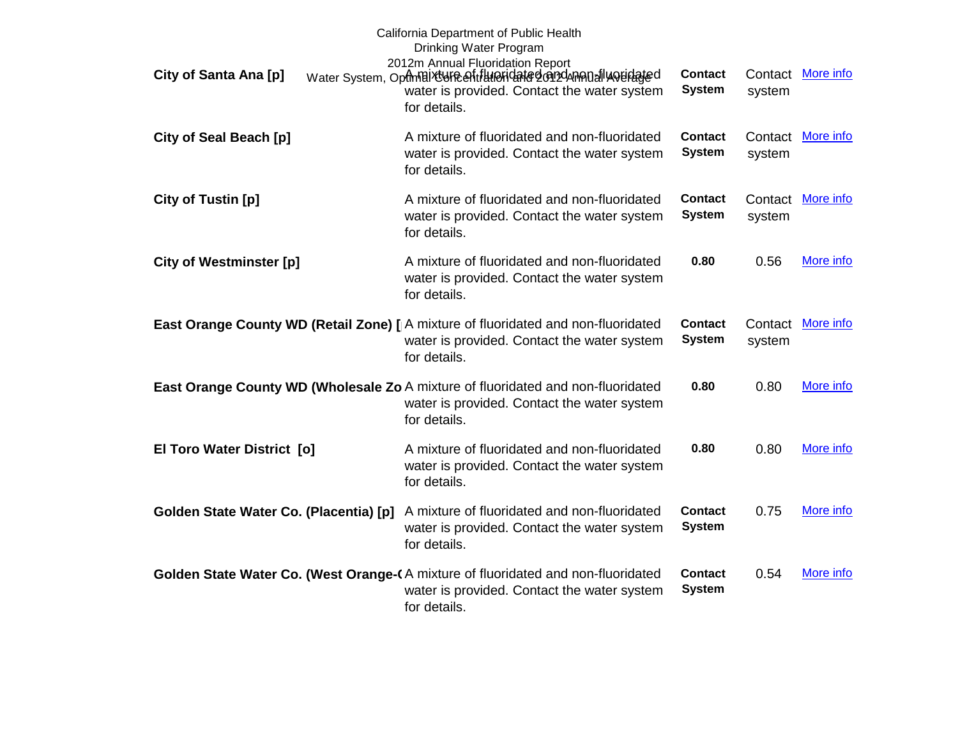| City of Santa Ana [p]                  | California Department of Public Health<br>Drinking Water Program<br>2012m Annual Fluoridation Report<br>Water System, Optimal ty GReaft Hueridated on Dunand I weidated<br>water is provided. Contact the water system<br>for details. | <b>Contact</b><br><b>System</b> | Contact<br>system | More info |
|----------------------------------------|----------------------------------------------------------------------------------------------------------------------------------------------------------------------------------------------------------------------------------------|---------------------------------|-------------------|-----------|
| City of Seal Beach [p]                 | A mixture of fluoridated and non-fluoridated<br>water is provided. Contact the water system<br>for details.                                                                                                                            | <b>Contact</b><br><b>System</b> | Contact<br>system | More info |
| City of Tustin [p]                     | A mixture of fluoridated and non-fluoridated<br>water is provided. Contact the water system<br>for details.                                                                                                                            | <b>Contact</b><br><b>System</b> | Contact<br>system | More info |
| <b>City of Westminster [p]</b>         | A mixture of fluoridated and non-fluoridated<br>water is provided. Contact the water system<br>for details.                                                                                                                            | 0.80                            | 0.56              | More info |
|                                        | East Orange County WD (Retail Zone) [  A mixture of fluoridated and non-fluoridated<br>water is provided. Contact the water system<br>for details.                                                                                     | <b>Contact</b><br><b>System</b> | Contact<br>system | More info |
|                                        | East Orange County WD (Wholesale Zo A mixture of fluoridated and non-fluoridated<br>water is provided. Contact the water system<br>for details.                                                                                        | 0.80                            | 0.80              | More info |
| El Toro Water District [0]             | A mixture of fluoridated and non-fluoridated<br>water is provided. Contact the water system<br>for details.                                                                                                                            | 0.80                            | 0.80              | More info |
| Golden State Water Co. (Placentia) [p] | A mixture of fluoridated and non-fluoridated<br>water is provided. Contact the water system<br>for details.                                                                                                                            | <b>Contact</b><br><b>System</b> | 0.75              | More info |
|                                        | Golden State Water Co. (West Orange-(A mixture of fluoridated and non-fluoridated<br>water is provided. Contact the water system<br>for details.                                                                                       | <b>Contact</b><br><b>System</b> | 0.54              | More info |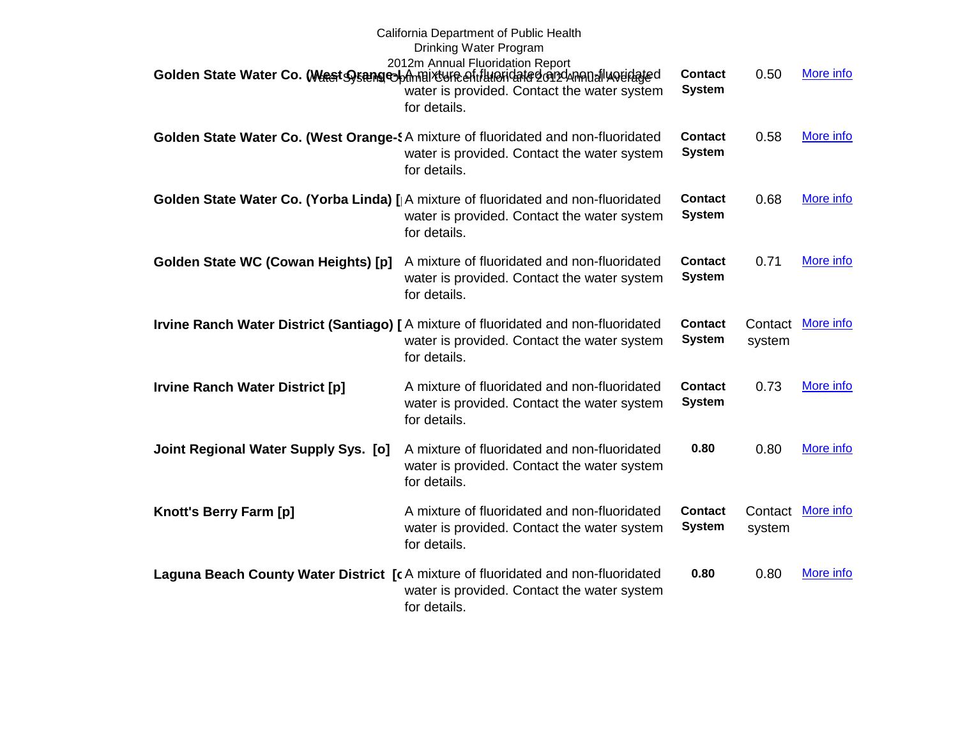|                                        | California Department of Public Health<br>Drinking Water Program<br>2012m Annual Fluoridation Report<br>Golden State Water Co. (West Sysang colomnaix une entitlumendate don dumental were dated<br>water is provided. Contact the water system<br>for details. | <b>Contact</b><br><b>System</b> | 0.50              | More info |
|----------------------------------------|-----------------------------------------------------------------------------------------------------------------------------------------------------------------------------------------------------------------------------------------------------------------|---------------------------------|-------------------|-----------|
|                                        | Golden State Water Co. (West Orange-\$A mixture of fluoridated and non-fluoridated<br>water is provided. Contact the water system<br>for details.                                                                                                               | <b>Contact</b><br><b>System</b> | 0.58              | More info |
|                                        | Golden State Water Co. (Yorba Linda) [  A mixture of fluoridated and non-fluoridated<br>water is provided. Contact the water system<br>for details.                                                                                                             | <b>Contact</b><br><b>System</b> | 0.68              | More info |
| Golden State WC (Cowan Heights) [p]    | A mixture of fluoridated and non-fluoridated<br>water is provided. Contact the water system<br>for details.                                                                                                                                                     | <b>Contact</b><br><b>System</b> | 0.71              | More info |
|                                        | Irvine Ranch Water District (Santiago) [ A mixture of fluoridated and non-fluoridated<br>water is provided. Contact the water system<br>for details.                                                                                                            | <b>Contact</b><br><b>System</b> | Contact<br>system | More info |
| <b>Irvine Ranch Water District [p]</b> | A mixture of fluoridated and non-fluoridated<br>water is provided. Contact the water system<br>for details.                                                                                                                                                     | <b>Contact</b><br><b>System</b> | 0.73              | More info |
| Joint Regional Water Supply Sys. [0]   | A mixture of fluoridated and non-fluoridated<br>water is provided. Contact the water system<br>for details.                                                                                                                                                     | 0.80                            | 0.80              | More info |
| Knott's Berry Farm [p]                 | A mixture of fluoridated and non-fluoridated<br>water is provided. Contact the water system<br>for details.                                                                                                                                                     | <b>Contact</b><br><b>System</b> | Contact<br>system | More info |
|                                        | Laguna Beach County Water District [cA mixture of fluoridated and non-fluoridated<br>water is provided. Contact the water system<br>for details.                                                                                                                | 0.80                            | 0.80              | More info |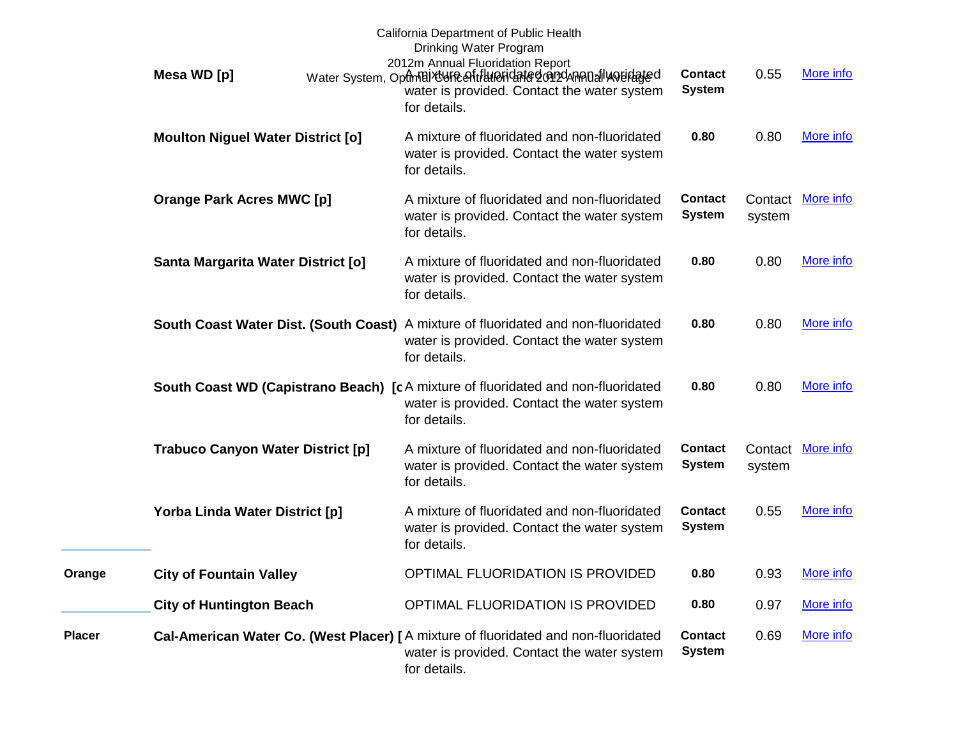|               | Mesa WD [p]                              | California Department of Public Health<br>Drinking Water Program<br>2012m Annual Fluoridation Report<br>Water System, OptmBixtyFeefitHHeFidated@n2dAnA0allyQuidated<br>water is provided. Contact the water system<br>for details. | <b>Contact</b><br><b>System</b> | 0.55              | More info         |
|---------------|------------------------------------------|------------------------------------------------------------------------------------------------------------------------------------------------------------------------------------------------------------------------------------|---------------------------------|-------------------|-------------------|
|               | <b>Moulton Niguel Water District [o]</b> | A mixture of fluoridated and non-fluoridated<br>water is provided. Contact the water system<br>for details.                                                                                                                        | 0.80                            | 0.80              | More info         |
|               | <b>Orange Park Acres MWC [p]</b>         | A mixture of fluoridated and non-fluoridated<br>water is provided. Contact the water system<br>for details.                                                                                                                        | <b>Contact</b><br><b>System</b> | system            | Contact More info |
|               | Santa Margarita Water District [o]       | A mixture of fluoridated and non-fluoridated<br>water is provided. Contact the water system<br>for details.                                                                                                                        | 0.80                            | 0.80              | More info         |
|               |                                          | South Coast Water Dist. (South Coast) A mixture of fluoridated and non-fluoridated<br>water is provided. Contact the water system<br>for details.                                                                                  | 0.80                            | 0.80              | More info         |
|               |                                          | South Coast WD (Capistrano Beach) [c A mixture of fluoridated and non-fluoridated<br>water is provided. Contact the water system<br>for details.                                                                                   | 0.80                            | 0.80              | More info         |
|               | <b>Trabuco Canyon Water District [p]</b> | A mixture of fluoridated and non-fluoridated<br>water is provided. Contact the water system<br>for details.                                                                                                                        | <b>Contact</b><br><b>System</b> | Contact<br>system | More info         |
|               | Yorba Linda Water District [p]           | A mixture of fluoridated and non-fluoridated<br>water is provided. Contact the water system<br>for details.                                                                                                                        | <b>Contact</b><br><b>System</b> | 0.55              | More info         |
| Orange        | <b>City of Fountain Valley</b>           | OPTIMAL FLUORIDATION IS PROVIDED                                                                                                                                                                                                   | 0.80                            | 0.93              | More info         |
|               | <b>City of Huntington Beach</b>          | OPTIMAL FLUORIDATION IS PROVIDED                                                                                                                                                                                                   | 0.80                            | 0.97              | More info         |
| <b>Placer</b> |                                          | Cal-American Water Co. (West Placer) [ A mixture of fluoridated and non-fluoridated<br>water is provided. Contact the water system<br>for details.                                                                                 | <b>Contact</b><br><b>System</b> | 0.69              | More info         |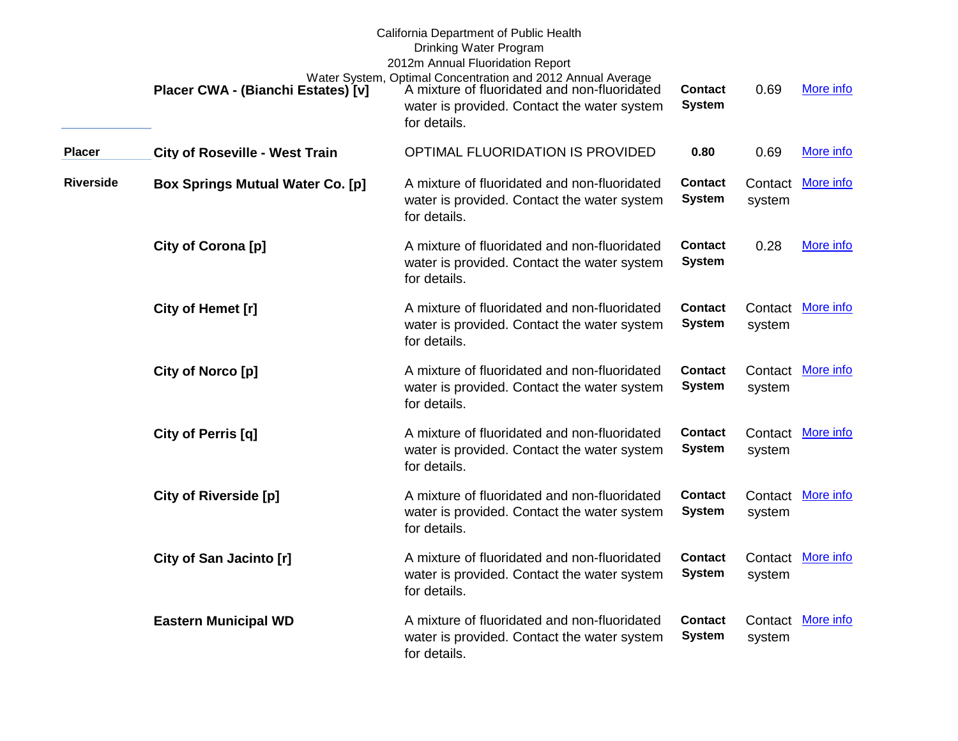|                  | Placer CWA - (Bianchi Estates) [v]      | California Department of Public Health<br>Drinking Water Program<br>2012m Annual Fluoridation Report<br>Water System, Optimal Concentration and 2012 Annual Average<br>A mixture of fluoridated and non-fluoridated<br>water is provided. Contact the water system<br>for details. | <b>Contact</b><br><b>System</b> | 0.69              | More info         |
|------------------|-----------------------------------------|------------------------------------------------------------------------------------------------------------------------------------------------------------------------------------------------------------------------------------------------------------------------------------|---------------------------------|-------------------|-------------------|
| <b>Placer</b>    | <b>City of Roseville - West Train</b>   | OPTIMAL FLUORIDATION IS PROVIDED                                                                                                                                                                                                                                                   | 0.80                            | 0.69              | More info         |
| <b>Riverside</b> | <b>Box Springs Mutual Water Co. [p]</b> | A mixture of fluoridated and non-fluoridated<br>water is provided. Contact the water system<br>for details.                                                                                                                                                                        | <b>Contact</b><br><b>System</b> | Contact<br>system | More info         |
|                  | City of Corona [p]                      | A mixture of fluoridated and non-fluoridated<br>water is provided. Contact the water system<br>for details.                                                                                                                                                                        | <b>Contact</b><br><b>System</b> | 0.28              | More info         |
|                  | City of Hemet [r]                       | A mixture of fluoridated and non-fluoridated<br>water is provided. Contact the water system<br>for details.                                                                                                                                                                        | Contact<br><b>System</b>        | system            | Contact More info |
|                  | City of Norco [p]                       | A mixture of fluoridated and non-fluoridated<br>water is provided. Contact the water system<br>for details.                                                                                                                                                                        | <b>Contact</b><br><b>System</b> | system            | Contact More info |
|                  | City of Perris [q]                      | A mixture of fluoridated and non-fluoridated<br>water is provided. Contact the water system<br>for details.                                                                                                                                                                        | <b>Contact</b><br><b>System</b> | system            | Contact More info |
|                  | <b>City of Riverside [p]</b>            | A mixture of fluoridated and non-fluoridated<br>water is provided. Contact the water system<br>for details.                                                                                                                                                                        | Contact<br><b>System</b>        | system            | Contact More info |
|                  | City of San Jacinto [r]                 | A mixture of fluoridated and non-fluoridated<br>water is provided. Contact the water system<br>for details.                                                                                                                                                                        | <b>Contact</b><br><b>System</b> | system            | Contact More info |
|                  | <b>Eastern Municipal WD</b>             | A mixture of fluoridated and non-fluoridated<br>water is provided. Contact the water system<br>for details.                                                                                                                                                                        | <b>Contact</b><br><b>System</b> | system            | Contact More info |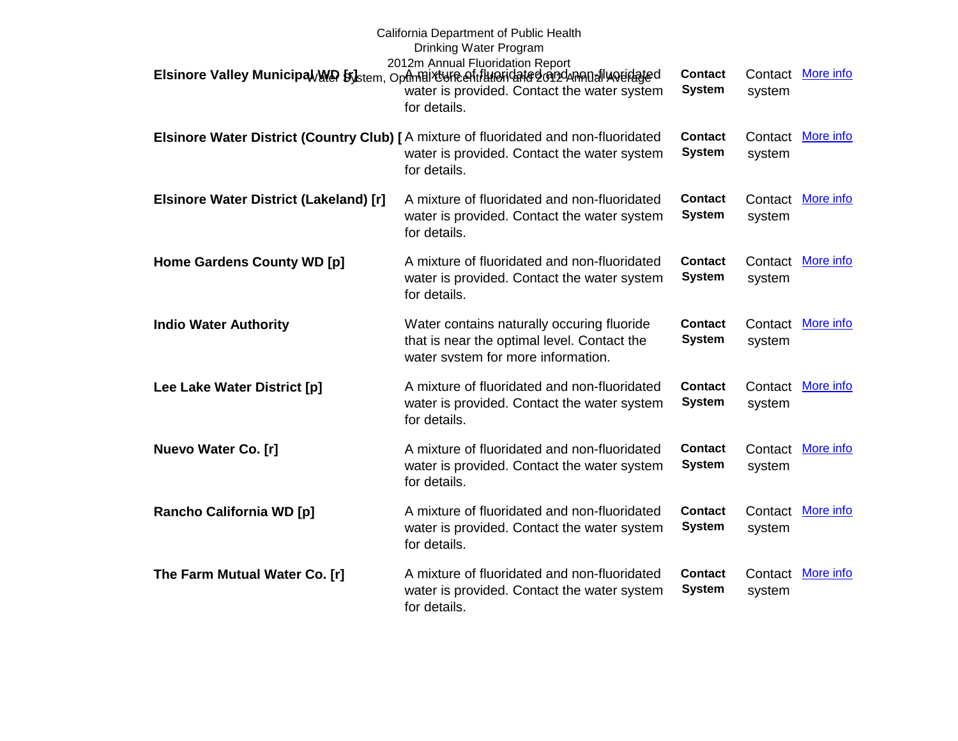|                                        | California Department of Public Health<br>Drinking Water Program                                                                                                                            |                                 |                   |                   |
|----------------------------------------|---------------------------------------------------------------------------------------------------------------------------------------------------------------------------------------------|---------------------------------|-------------------|-------------------|
|                                        | 2012m Annual Fluoridation Report<br>Elsinore Valley Municipal/WA by stem, Opthelix Universalit Hundred Card Annual Would ged<br>water is provided. Contact the water system<br>for details. | <b>Contact</b><br><b>System</b> | Contact<br>system | More info         |
|                                        | Elsinore Water District (Country Club) [A mixture of fluoridated and non-fluoridated<br>water is provided. Contact the water system<br>for details.                                         | <b>Contact</b><br><b>System</b> | Contact<br>system | More info         |
| Elsinore Water District (Lakeland) [r] | A mixture of fluoridated and non-fluoridated<br>water is provided. Contact the water system<br>for details.                                                                                 | <b>Contact</b><br><b>System</b> | system            | Contact More info |
| Home Gardens County WD [p]             | A mixture of fluoridated and non-fluoridated<br>water is provided. Contact the water system<br>for details.                                                                                 | <b>Contact</b><br><b>System</b> | system            | Contact More info |
| <b>Indio Water Authority</b>           | Water contains naturally occuring fluoride<br>that is near the optimal level. Contact the<br>water system for more information.                                                             | <b>Contact</b><br><b>System</b> | system            | Contact More info |
| Lee Lake Water District [p]            | A mixture of fluoridated and non-fluoridated<br>water is provided. Contact the water system<br>for details.                                                                                 | <b>Contact</b><br><b>System</b> | Contact<br>system | <b>More info</b>  |
| Nuevo Water Co. [r]                    | A mixture of fluoridated and non-fluoridated<br>water is provided. Contact the water system<br>for details.                                                                                 | <b>Contact</b><br><b>System</b> | Contact<br>system | More info         |
| <b>Rancho California WD [p]</b>        | A mixture of fluoridated and non-fluoridated<br>water is provided. Contact the water system<br>for details.                                                                                 | <b>Contact</b><br><b>System</b> | Contact<br>system | <b>More info</b>  |
| The Farm Mutual Water Co. [r]          | A mixture of fluoridated and non-fluoridated<br>water is provided. Contact the water system<br>for details.                                                                                 | <b>Contact</b><br><b>System</b> | Contact<br>system | More info         |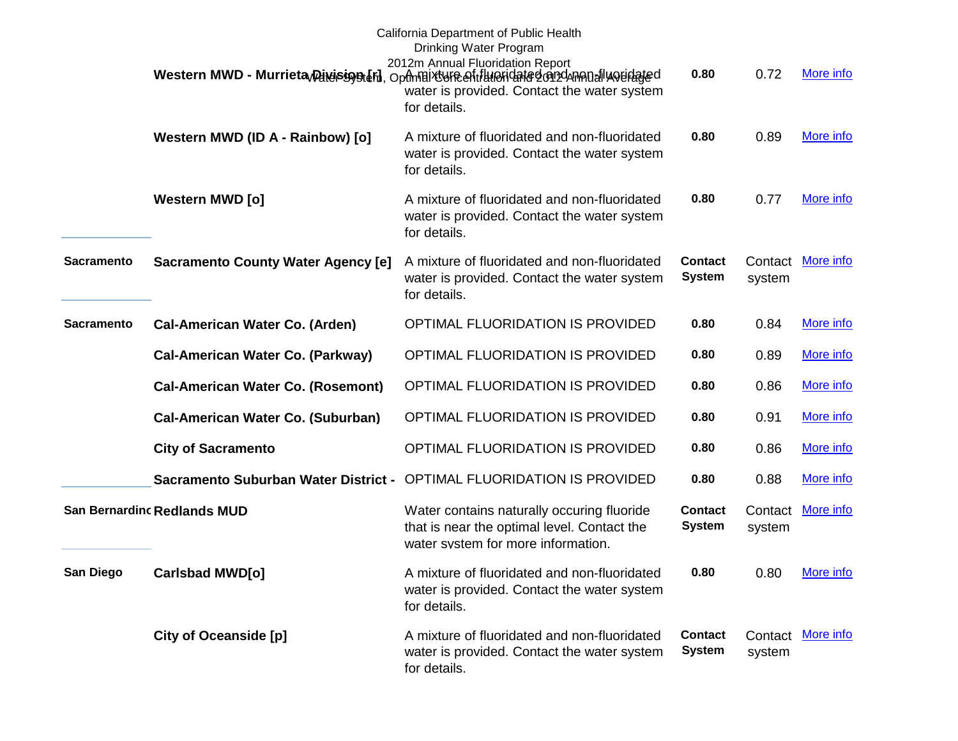|                   |                                           | California Department of Public Health<br>Drinking Water Program<br>2012m Annual Fluoridation Report<br>Western MWD - Murrieta Diversion of the optimal rest of the Highland and Muslim and Muslim<br>water is provided. Contact the water system<br>for details. | 0.80                            | 0.72              | More info         |
|-------------------|-------------------------------------------|-------------------------------------------------------------------------------------------------------------------------------------------------------------------------------------------------------------------------------------------------------------------|---------------------------------|-------------------|-------------------|
|                   | Western MWD (ID A - Rainbow) [o]          | A mixture of fluoridated and non-fluoridated<br>water is provided. Contact the water system<br>for details.                                                                                                                                                       | 0.80                            | 0.89              | More info         |
|                   | <b>Western MWD [o]</b>                    | A mixture of fluoridated and non-fluoridated<br>water is provided. Contact the water system<br>for details.                                                                                                                                                       | 0.80                            | 0.77              | More info         |
| <b>Sacramento</b> | <b>Sacramento County Water Agency [e]</b> | A mixture of fluoridated and non-fluoridated<br>water is provided. Contact the water system<br>for details.                                                                                                                                                       | <b>Contact</b><br><b>System</b> | system            | Contact More info |
| <b>Sacramento</b> | <b>Cal-American Water Co. (Arden)</b>     | OPTIMAL FLUORIDATION IS PROVIDED                                                                                                                                                                                                                                  | 0.80                            | 0.84              | More info         |
|                   | <b>Cal-American Water Co. (Parkway)</b>   | OPTIMAL FLUORIDATION IS PROVIDED                                                                                                                                                                                                                                  | 0.80                            | 0.89              | More info         |
|                   | <b>Cal-American Water Co. (Rosemont)</b>  | OPTIMAL FLUORIDATION IS PROVIDED                                                                                                                                                                                                                                  | 0.80                            | 0.86              | More info         |
|                   | <b>Cal-American Water Co. (Suburban)</b>  | OPTIMAL FLUORIDATION IS PROVIDED                                                                                                                                                                                                                                  | 0.80                            | 0.91              | More info         |
|                   | <b>City of Sacramento</b>                 | OPTIMAL FLUORIDATION IS PROVIDED                                                                                                                                                                                                                                  | 0.80                            | 0.86              | More info         |
|                   |                                           | Sacramento Suburban Water District - OPTIMAL FLUORIDATION IS PROVIDED                                                                                                                                                                                             | 0.80                            | 0.88              | More info         |
|                   | <b>San Bernardinc Redlands MUD</b>        | Water contains naturally occuring fluoride<br>that is near the optimal level. Contact the<br>water system for more information.                                                                                                                                   | Contact<br><b>System</b>        | Contact<br>system | More info         |
| San Diego         | Carlsbad MWD[0]                           | A mixture of fluoridated and non-fluoridated<br>water is provided. Contact the water system<br>for details.                                                                                                                                                       | 0.80                            |                   | 0.80 More info    |
|                   | <b>City of Oceanside [p]</b>              | A mixture of fluoridated and non-fluoridated<br>water is provided. Contact the water system<br>for details.                                                                                                                                                       | <b>Contact</b><br><b>System</b> | system            | Contact More info |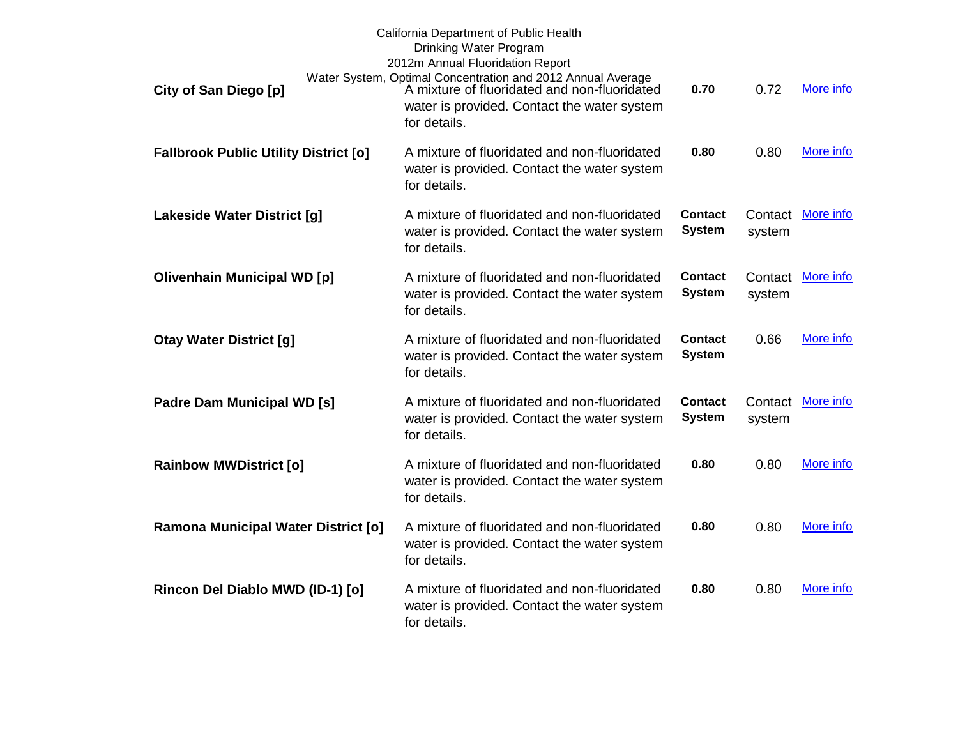| City of San Diego [p]                        | California Department of Public Health<br>Drinking Water Program<br>2012m Annual Fluoridation Report<br>Water System, Optimal Concentration and 2012 Annual Average<br>A mixture of fluoridated and non-fluoridated<br>water is provided. Contact the water system<br>for details. | 0.70                            | 0.72              | More info |
|----------------------------------------------|------------------------------------------------------------------------------------------------------------------------------------------------------------------------------------------------------------------------------------------------------------------------------------|---------------------------------|-------------------|-----------|
| <b>Fallbrook Public Utility District [o]</b> | A mixture of fluoridated and non-fluoridated<br>water is provided. Contact the water system<br>for details.                                                                                                                                                                        | 0.80                            | 0.80              | More info |
| <b>Lakeside Water District [g]</b>           | A mixture of fluoridated and non-fluoridated<br>water is provided. Contact the water system<br>for details.                                                                                                                                                                        | <b>Contact</b><br><b>System</b> | Contact<br>system | More info |
| <b>Olivenhain Municipal WD [p]</b>           | A mixture of fluoridated and non-fluoridated<br>water is provided. Contact the water system<br>for details.                                                                                                                                                                        | <b>Contact</b><br><b>System</b> | Contact<br>system | More info |
| <b>Otay Water District [g]</b>               | A mixture of fluoridated and non-fluoridated<br>water is provided. Contact the water system<br>for details.                                                                                                                                                                        | <b>Contact</b><br><b>System</b> | 0.66              | More info |
| Padre Dam Municipal WD [s]                   | A mixture of fluoridated and non-fluoridated<br>water is provided. Contact the water system<br>for details.                                                                                                                                                                        | <b>Contact</b><br><b>System</b> | Contact<br>system | More info |
| <b>Rainbow MWDistrict [o]</b>                | A mixture of fluoridated and non-fluoridated<br>water is provided. Contact the water system<br>for details.                                                                                                                                                                        | 0.80                            | 0.80              | More info |
| <b>Ramona Municipal Water District [o]</b>   | A mixture of fluoridated and non-fluoridated<br>water is provided. Contact the water system<br>for details.                                                                                                                                                                        | 0.80                            | 0.80              | More info |
| Rincon Del Diablo MWD (ID-1) [o]             | A mixture of fluoridated and non-fluoridated<br>water is provided. Contact the water system<br>for details.                                                                                                                                                                        | 0.80                            | 0.80              | More info |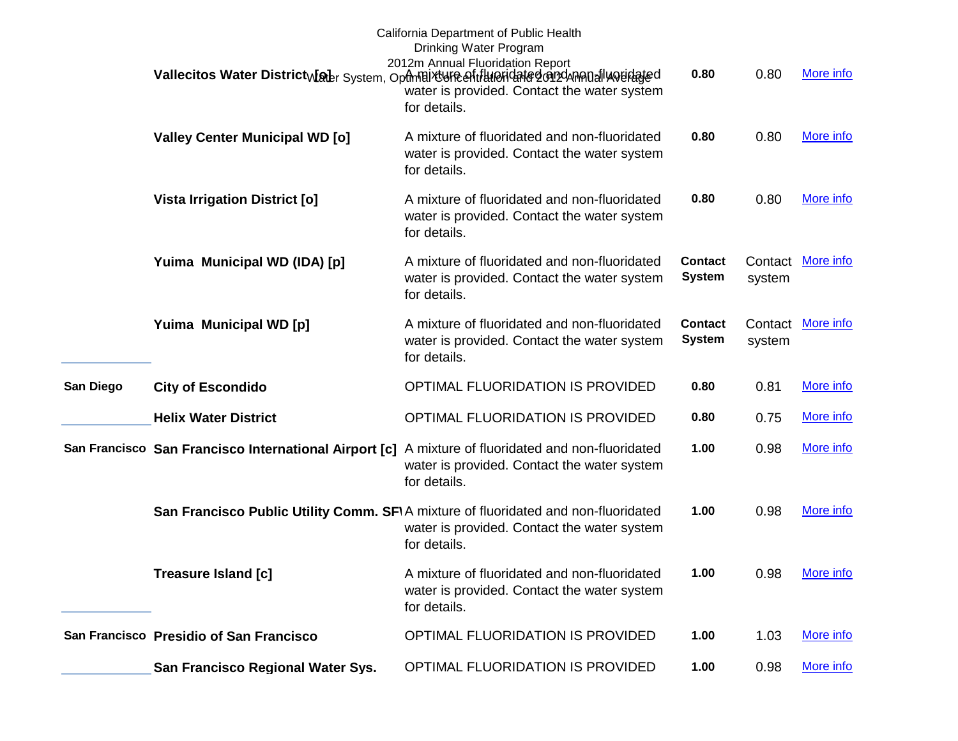|           |                                         | California Department of Public Health<br>Drinking Water Program<br>2012m Annual Fluoridation Report<br>Vallecitos Water District Maler System, Opthelixt une of the pridate denschaped valled<br>water is provided. Contact the water system<br>for details. | 0.80                            | 0.80              | More info         |
|-----------|-----------------------------------------|---------------------------------------------------------------------------------------------------------------------------------------------------------------------------------------------------------------------------------------------------------------|---------------------------------|-------------------|-------------------|
|           | <b>Valley Center Municipal WD [o]</b>   | A mixture of fluoridated and non-fluoridated<br>water is provided. Contact the water system<br>for details.                                                                                                                                                   | 0.80                            | 0.80              | More info         |
|           | <b>Vista Irrigation District [o]</b>    | A mixture of fluoridated and non-fluoridated<br>water is provided. Contact the water system<br>for details.                                                                                                                                                   | 0.80                            | 0.80              | More info         |
|           | Yuima Municipal WD (IDA) [p]            | A mixture of fluoridated and non-fluoridated<br>water is provided. Contact the water system<br>for details.                                                                                                                                                   | <b>Contact</b><br><b>System</b> | Contact<br>system | More info         |
|           | Yuima Municipal WD [p]                  | A mixture of fluoridated and non-fluoridated<br>water is provided. Contact the water system<br>for details.                                                                                                                                                   | <b>Contact</b><br><b>System</b> | system            | Contact More info |
| San Diego | <b>City of Escondido</b>                | OPTIMAL FLUORIDATION IS PROVIDED                                                                                                                                                                                                                              | 0.80                            | 0.81              | More info         |
|           | <b>Helix Water District</b>             | OPTIMAL FLUORIDATION IS PROVIDED                                                                                                                                                                                                                              | 0.80                            | 0.75              | More info         |
|           |                                         | San Francisco San Francisco International Airport [c] A mixture of fluoridated and non-fluoridated<br>water is provided. Contact the water system<br>for details.                                                                                             | 1.00                            | 0.98              | More info         |
|           |                                         | San Francisco Public Utility Comm. SFIA mixture of fluoridated and non-fluoridated<br>water is provided. Contact the water system<br>for details.                                                                                                             | 1.00                            | 0.98              | More info         |
|           | Treasure Island [c]                     | A mixture of fluoridated and non-fluoridated<br>water is provided. Contact the water system<br>for details.                                                                                                                                                   | 1.00                            | 0.98              | More info         |
|           | San Francisco Presidio of San Francisco | OPTIMAL FLUORIDATION IS PROVIDED                                                                                                                                                                                                                              | 1.00                            | 1.03              | More info         |
|           | San Francisco Regional Water Sys.       | OPTIMAL FLUORIDATION IS PROVIDED                                                                                                                                                                                                                              | 1.00                            | 0.98              | More info         |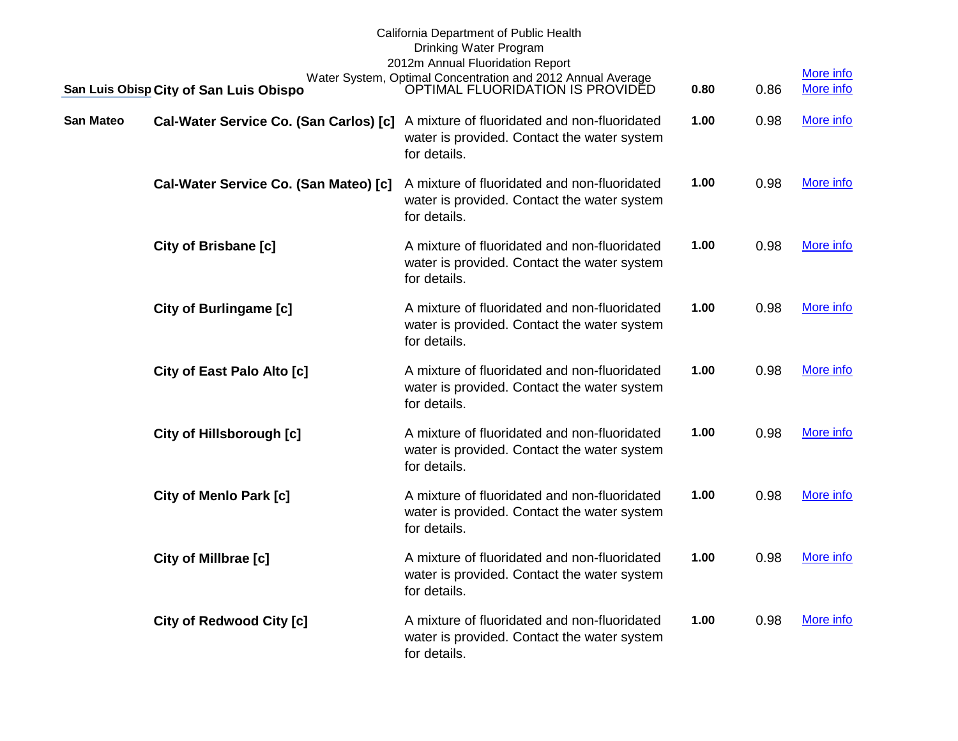|                  | San Luis Obisp City of San Luis Obispo | California Department of Public Health<br>Drinking Water Program<br>2012m Annual Fluoridation Report<br>Water System, Optimal Concentration and 2012 Annual Average<br>OPTIMAL FLUORIDATION IS PROVIDED | 0.80 | 0.86 | More info<br>More info |
|------------------|----------------------------------------|---------------------------------------------------------------------------------------------------------------------------------------------------------------------------------------------------------|------|------|------------------------|
| <b>San Mateo</b> | Cal-Water Service Co. (San Carlos) [c] | A mixture of fluoridated and non-fluoridated<br>water is provided. Contact the water system<br>for details.                                                                                             | 1.00 | 0.98 | More info              |
|                  | Cal-Water Service Co. (San Mateo) [c]  | A mixture of fluoridated and non-fluoridated<br>water is provided. Contact the water system<br>for details.                                                                                             | 1.00 | 0.98 | More info              |
|                  | <b>City of Brisbane [c]</b>            | A mixture of fluoridated and non-fluoridated<br>water is provided. Contact the water system<br>for details.                                                                                             | 1.00 | 0.98 | More info              |
|                  | <b>City of Burlingame [c]</b>          | A mixture of fluoridated and non-fluoridated<br>water is provided. Contact the water system<br>for details.                                                                                             | 1.00 | 0.98 | More info              |
|                  | City of East Palo Alto [c]             | A mixture of fluoridated and non-fluoridated<br>water is provided. Contact the water system<br>for details.                                                                                             | 1.00 | 0.98 | More info              |
|                  | <b>City of Hillsborough [c]</b>        | A mixture of fluoridated and non-fluoridated<br>water is provided. Contact the water system<br>for details.                                                                                             | 1.00 | 0.98 | More info              |
|                  | City of Menlo Park [c]                 | A mixture of fluoridated and non-fluoridated<br>water is provided. Contact the water system<br>for details.                                                                                             | 1.00 | 0.98 | More info              |
|                  | City of Millbrae [c]                   | A mixture of fluoridated and non-fluoridated<br>water is provided. Contact the water system<br>for details.                                                                                             | 1.00 | 0.98 | More info              |
|                  | <b>City of Redwood City [c]</b>        | A mixture of fluoridated and non-fluoridated<br>water is provided. Contact the water system<br>for details.                                                                                             | 1.00 | 0.98 | More info              |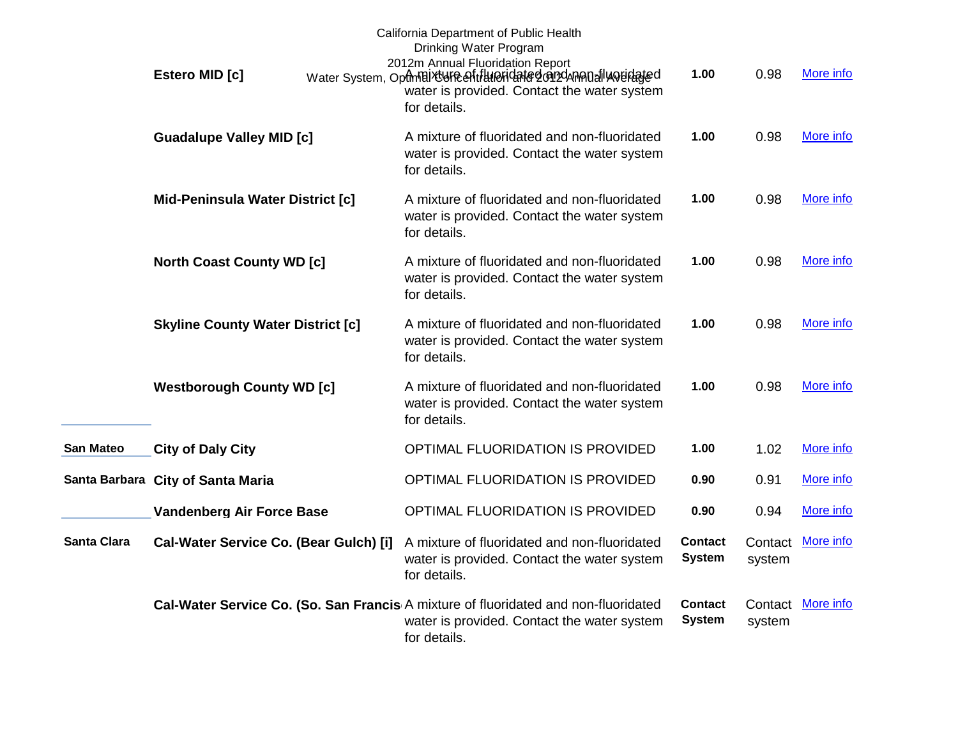|                  | Estero MID [c]                           | California Department of Public Health<br>Drinking Water Program<br>2012m Annual Fluoridation Report<br>Water System, OpthnBixtyFeentillHeridated@n2dAnA0alluoeidated<br>water is provided. Contact the water system<br>for details. | 1.00                            | 0.98              | More info         |
|------------------|------------------------------------------|--------------------------------------------------------------------------------------------------------------------------------------------------------------------------------------------------------------------------------------|---------------------------------|-------------------|-------------------|
|                  | <b>Guadalupe Valley MID [c]</b>          | A mixture of fluoridated and non-fluoridated<br>water is provided. Contact the water system<br>for details.                                                                                                                          | 1.00                            | 0.98              | More info         |
|                  | Mid-Peninsula Water District [c]         | A mixture of fluoridated and non-fluoridated<br>water is provided. Contact the water system<br>for details.                                                                                                                          | 1.00                            | 0.98              | More info         |
|                  | <b>North Coast County WD [c]</b>         | A mixture of fluoridated and non-fluoridated<br>water is provided. Contact the water system<br>for details.                                                                                                                          | 1.00                            | 0.98              | More info         |
|                  | <b>Skyline County Water District [c]</b> | A mixture of fluoridated and non-fluoridated<br>water is provided. Contact the water system<br>for details.                                                                                                                          | 1.00                            | 0.98              | More info         |
|                  | <b>Westborough County WD [c]</b>         | A mixture of fluoridated and non-fluoridated<br>water is provided. Contact the water system<br>for details.                                                                                                                          | 1.00                            | 0.98              | More info         |
| <b>San Mateo</b> | <b>City of Daly City</b>                 | OPTIMAL FLUORIDATION IS PROVIDED                                                                                                                                                                                                     | 1.00                            | 1.02              | More info         |
|                  | Santa Barbara City of Santa Maria        | OPTIMAL FLUORIDATION IS PROVIDED                                                                                                                                                                                                     | 0.90                            | 0.91              | More info         |
|                  | <b>Vandenberg Air Force Base</b>         | OPTIMAL FLUORIDATION IS PROVIDED                                                                                                                                                                                                     | 0.90                            | 0.94              | More info         |
| Santa Clara      | Cal-Water Service Co. (Bear Gulch) [i]   | A mixture of fluoridated and non-fluoridated<br>water is provided. Contact the water system<br>for details.                                                                                                                          | <b>Contact</b><br><b>System</b> | Contact<br>system | More info         |
|                  |                                          | Cal-Water Service Co. (So. San Francis A mixture of fluoridated and non-fluoridated<br>water is provided. Contact the water system<br>for details.                                                                                   | <b>Contact</b><br><b>System</b> | system            | Contact More info |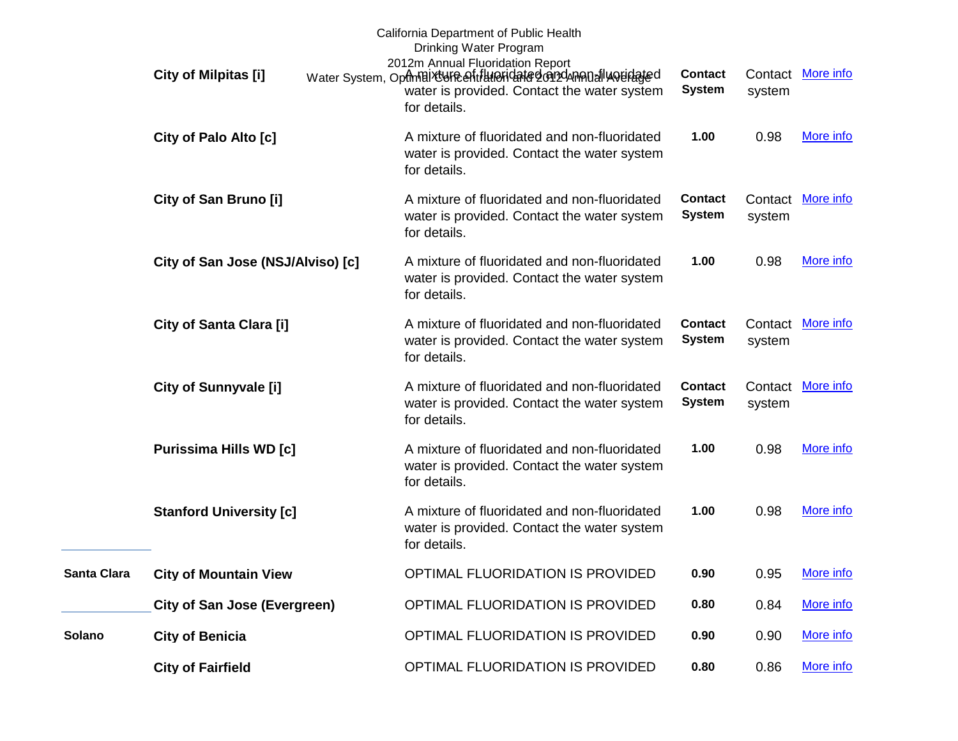|             | City of Milpitas [i]                | California Department of Public Health<br>Drinking Water Program<br>2012m Annual Fluoridation Report<br>Water System, Optmaix Greenfifthe Highland Conzumental World ated<br>water is provided. Contact the water system<br>for details. | <b>Contact</b><br><b>System</b> | system | Contact More info |
|-------------|-------------------------------------|------------------------------------------------------------------------------------------------------------------------------------------------------------------------------------------------------------------------------------------|---------------------------------|--------|-------------------|
|             | City of Palo Alto [c]               | A mixture of fluoridated and non-fluoridated<br>water is provided. Contact the water system<br>for details.                                                                                                                              | 1.00                            | 0.98   | More info         |
|             | City of San Bruno [i]               | A mixture of fluoridated and non-fluoridated<br>water is provided. Contact the water system<br>for details.                                                                                                                              | <b>Contact</b><br><b>System</b> | system | Contact More info |
|             | City of San Jose (NSJ/Alviso) [c]   | A mixture of fluoridated and non-fluoridated<br>water is provided. Contact the water system<br>for details.                                                                                                                              | 1.00                            | 0.98   | More info         |
|             | City of Santa Clara [i]             | A mixture of fluoridated and non-fluoridated<br>water is provided. Contact the water system<br>for details.                                                                                                                              | <b>Contact</b><br><b>System</b> | system | Contact More info |
|             | <b>City of Sunnyvale [i]</b>        | A mixture of fluoridated and non-fluoridated<br>water is provided. Contact the water system<br>for details.                                                                                                                              | <b>Contact</b><br><b>System</b> | system | Contact More info |
|             | <b>Purissima Hills WD [c]</b>       | A mixture of fluoridated and non-fluoridated<br>water is provided. Contact the water system<br>for details.                                                                                                                              | 1.00                            | 0.98   | More info         |
|             | <b>Stanford University [c]</b>      | A mixture of fluoridated and non-fluoridated<br>water is provided. Contact the water system<br>for details.                                                                                                                              | 1.00                            | 0.98   | More info         |
| Santa Clara | <b>City of Mountain View</b>        | OPTIMAL FLUORIDATION IS PROVIDED                                                                                                                                                                                                         | 0.90                            | 0.95   | More info         |
|             | <b>City of San Jose (Evergreen)</b> | OPTIMAL FLUORIDATION IS PROVIDED                                                                                                                                                                                                         | 0.80                            | 0.84   | More info         |
| Solano      | <b>City of Benicia</b>              | OPTIMAL FLUORIDATION IS PROVIDED                                                                                                                                                                                                         | 0.90                            | 0.90   | More info         |
|             | <b>City of Fairfield</b>            | OPTIMAL FLUORIDATION IS PROVIDED                                                                                                                                                                                                         | 0.80                            | 0.86   | More info         |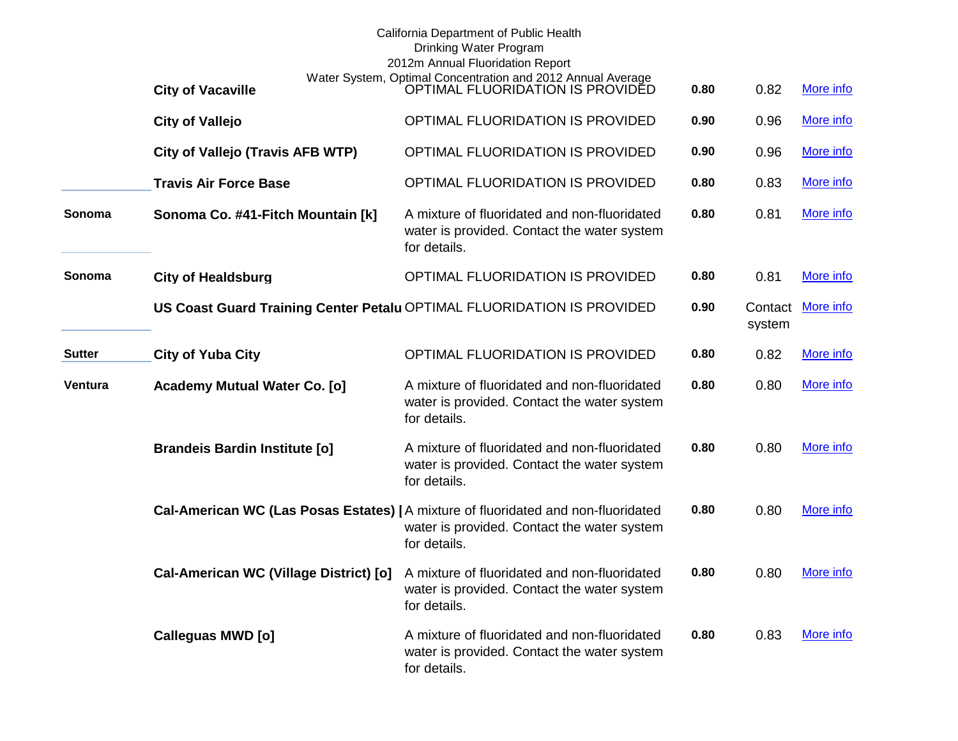|               |                                        | California Department of Public Health<br>Drinking Water Program<br>2012m Annual Fluoridation Report                                             |      |                   |           |
|---------------|----------------------------------------|--------------------------------------------------------------------------------------------------------------------------------------------------|------|-------------------|-----------|
|               | <b>City of Vacaville</b>               | Water System, Optimal Concentration and 2012 Annual Average<br>OPTIMAL FLUORIDATION IS PROVIDED                                                  | 0.80 | 0.82              | More info |
|               | <b>City of Vallejo</b>                 | OPTIMAL FLUORIDATION IS PROVIDED                                                                                                                 | 0.90 | 0.96              | More info |
|               | City of Vallejo (Travis AFB WTP)       | OPTIMAL FLUORIDATION IS PROVIDED                                                                                                                 | 0.90 | 0.96              | More info |
|               | <b>Travis Air Force Base</b>           | OPTIMAL FLUORIDATION IS PROVIDED                                                                                                                 | 0.80 | 0.83              | More info |
| Sonoma        | Sonoma Co. #41-Fitch Mountain [k]      | A mixture of fluoridated and non-fluoridated<br>water is provided. Contact the water system<br>for details.                                      | 0.80 | 0.81              | More info |
| Sonoma        | <b>City of Healdsburg</b>              | OPTIMAL FLUORIDATION IS PROVIDED                                                                                                                 | 0.80 | 0.81              | More info |
|               |                                        | US Coast Guard Training Center Petalu OPTIMAL FLUORIDATION IS PROVIDED                                                                           | 0.90 | Contact<br>system | More info |
| <b>Sutter</b> | <b>City of Yuba City</b>               | OPTIMAL FLUORIDATION IS PROVIDED                                                                                                                 | 0.80 | 0.82              | More info |
| Ventura       | Academy Mutual Water Co. [o]           | A mixture of fluoridated and non-fluoridated<br>water is provided. Contact the water system<br>for details.                                      | 0.80 | 0.80              | More info |
|               | <b>Brandeis Bardin Institute [o]</b>   | A mixture of fluoridated and non-fluoridated<br>water is provided. Contact the water system<br>for details.                                      | 0.80 | 0.80              | More info |
|               |                                        | Cal-American WC (Las Posas Estates) [A mixture of fluoridated and non-fluoridated<br>water is provided. Contact the water system<br>for details. | 0.80 | 0.80              | More info |
|               | Cal-American WC (Village District) [0] | A mixture of fluoridated and non-fluoridated<br>water is provided. Contact the water system<br>for details.                                      | 0.80 | 0.80              | More info |
|               | Calleguas MWD [o]                      | A mixture of fluoridated and non-fluoridated<br>water is provided. Contact the water system<br>for details.                                      | 0.80 | 0.83              | More info |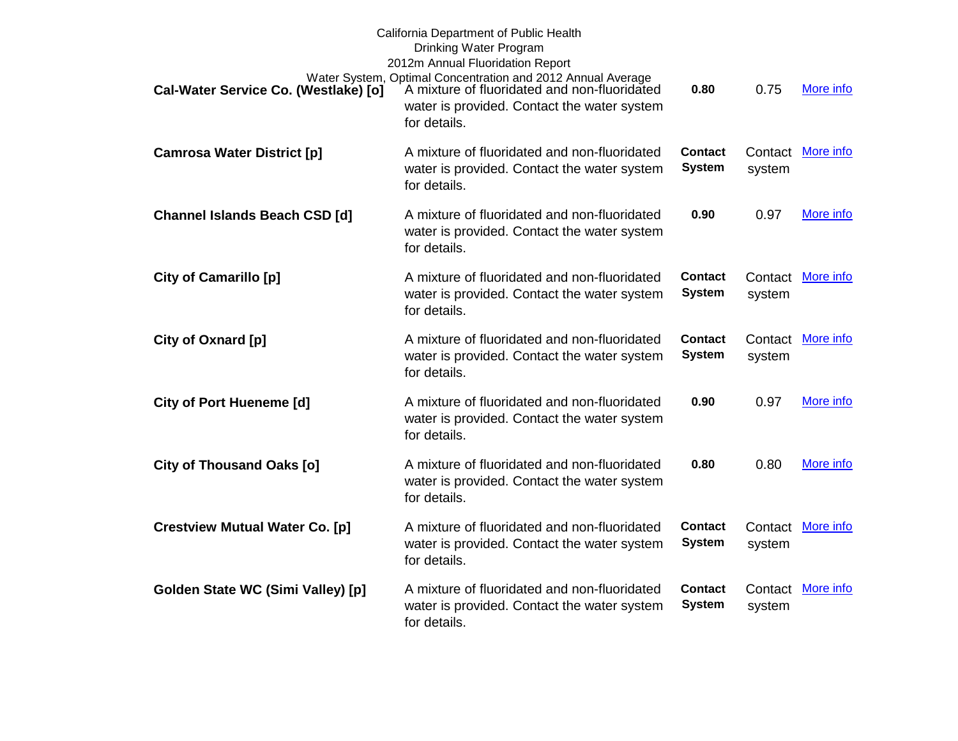| Cal-Water Service Co. (Westlake) [0]  | California Department of Public Health<br>Drinking Water Program<br>2012m Annual Fluoridation Report<br>Water System, Optimal Concentration and 2012 Annual Average<br><b>Westlake) [o]</b> A mixture of fluoridated and non-fluoridated<br>water is provided. Contact the water system<br>for details. | 0.80                            | 0.75              | More info         |
|---------------------------------------|---------------------------------------------------------------------------------------------------------------------------------------------------------------------------------------------------------------------------------------------------------------------------------------------------------|---------------------------------|-------------------|-------------------|
| <b>Camrosa Water District [p]</b>     | A mixture of fluoridated and non-fluoridated<br>water is provided. Contact the water system<br>for details.                                                                                                                                                                                             | <b>Contact</b><br><b>System</b> | system            | Contact More info |
| <b>Channel Islands Beach CSD [d]</b>  | A mixture of fluoridated and non-fluoridated<br>water is provided. Contact the water system<br>for details.                                                                                                                                                                                             | 0.90                            | 0.97              | More info         |
| <b>City of Camarillo [p]</b>          | A mixture of fluoridated and non-fluoridated<br>water is provided. Contact the water system<br>for details.                                                                                                                                                                                             | <b>Contact</b><br><b>System</b> | Contact<br>system | More info         |
| City of Oxnard [p]                    | A mixture of fluoridated and non-fluoridated<br>water is provided. Contact the water system<br>for details.                                                                                                                                                                                             | <b>Contact</b><br><b>System</b> | Contact<br>system | More info         |
| <b>City of Port Hueneme [d]</b>       | A mixture of fluoridated and non-fluoridated<br>water is provided. Contact the water system<br>for details.                                                                                                                                                                                             | 0.90                            | 0.97              | More info         |
| <b>City of Thousand Oaks [o]</b>      | A mixture of fluoridated and non-fluoridated<br>water is provided. Contact the water system<br>for details.                                                                                                                                                                                             | 0.80                            | 0.80              | More info         |
| <b>Crestview Mutual Water Co. [p]</b> | A mixture of fluoridated and non-fluoridated<br>water is provided. Contact the water system<br>for details.                                                                                                                                                                                             | <b>Contact</b><br><b>System</b> | Contact<br>system | More info         |
| Golden State WC (Simi Valley) [p]     | A mixture of fluoridated and non-fluoridated<br>water is provided. Contact the water system<br>for details.                                                                                                                                                                                             | <b>Contact</b><br><b>System</b> | system            | Contact More info |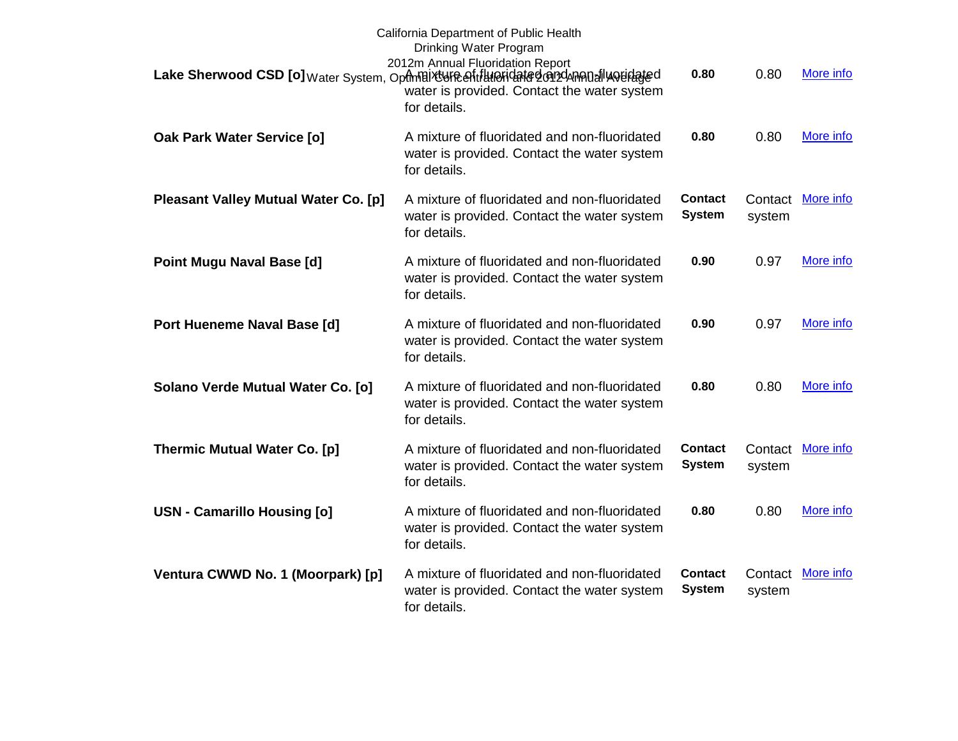|                                             | California Department of Public Health<br>Drinking Water Program<br>2012m Annual Fluoridation Report                                                |                                 |                   |                   |
|---------------------------------------------|-----------------------------------------------------------------------------------------------------------------------------------------------------|---------------------------------|-------------------|-------------------|
|                                             | Lake Sherwood CSD [o] Water System, Optmaix UFR eftillineridated on dAnnual weidated<br>water is provided. Contact the water system<br>for details. | 0.80                            | 0.80              | More info         |
| Oak Park Water Service [o]                  | A mixture of fluoridated and non-fluoridated<br>water is provided. Contact the water system<br>for details.                                         | 0.80                            | 0.80              | More info         |
| <b>Pleasant Valley Mutual Water Co. [p]</b> | A mixture of fluoridated and non-fluoridated<br>water is provided. Contact the water system<br>for details.                                         | <b>Contact</b><br><b>System</b> | system            | Contact More info |
| <b>Point Mugu Naval Base [d]</b>            | A mixture of fluoridated and non-fluoridated<br>water is provided. Contact the water system<br>for details.                                         | 0.90                            | 0.97              | More info         |
| Port Hueneme Naval Base [d]                 | A mixture of fluoridated and non-fluoridated<br>water is provided. Contact the water system<br>for details.                                         | 0.90                            | 0.97              | More info         |
| Solano Verde Mutual Water Co. [0]           | A mixture of fluoridated and non-fluoridated<br>water is provided. Contact the water system<br>for details.                                         | 0.80                            | 0.80              | More info         |
| <b>Thermic Mutual Water Co. [p]</b>         | A mixture of fluoridated and non-fluoridated<br>water is provided. Contact the water system<br>for details.                                         | <b>Contact</b><br><b>System</b> | Contact<br>system | More info         |
| USN - Camarillo Housing [o]                 | A mixture of fluoridated and non-fluoridated<br>water is provided. Contact the water system<br>for details.                                         | 0.80                            | 0.80              | More info         |
| Ventura CWWD No. 1 (Moorpark) [p]           | A mixture of fluoridated and non-fluoridated<br>water is provided. Contact the water system<br>for details.                                         | <b>Contact</b><br><b>System</b> | Contact<br>system | More info         |